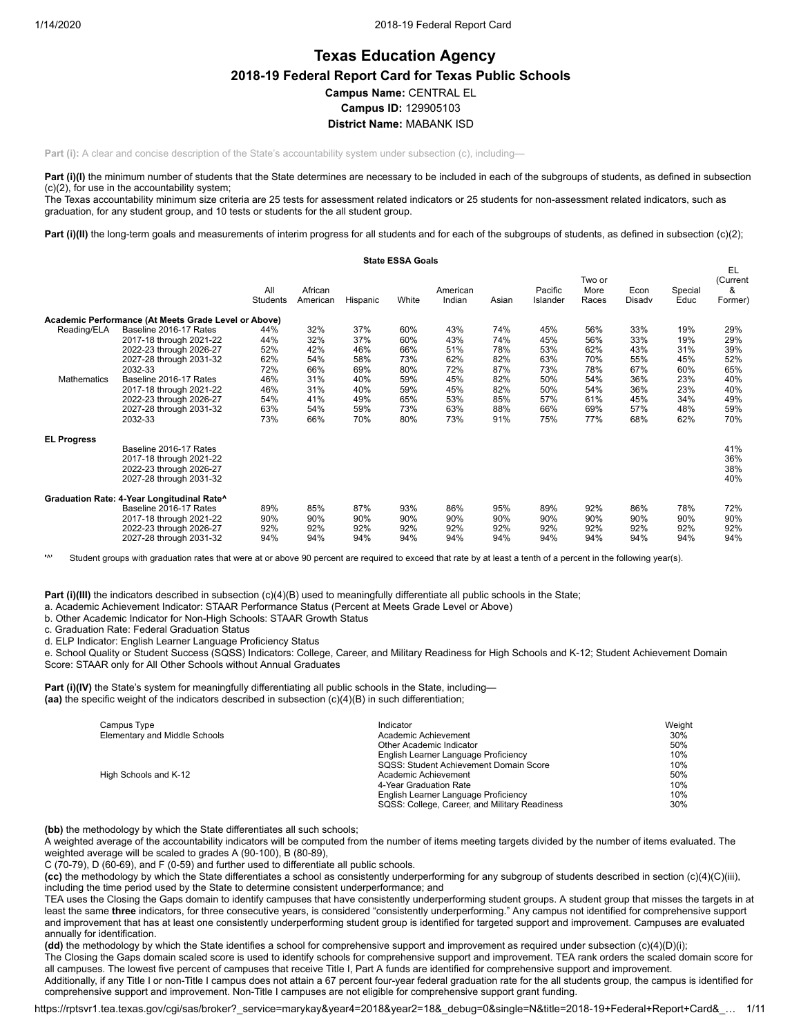## **Texas Education Agency 2018-19 Federal Report Card for Texas Public Schools Campus Name:** CENTRAL EL **Campus ID:** 129905103 **District Name:** MABANK ISD

**Part (i):** A clear and concise description of the State's accountability system under subsection (c), including—

Part (i)(I) the minimum number of students that the State determines are necessary to be included in each of the subgroups of students, as defined in subsection (c)(2), for use in the accountability system;

The Texas accountability minimum size criteria are 25 tests for assessment related indicators or 25 students for non-assessment related indicators, such as graduation, for any student group, and 10 tests or students for the all student group.

Part (i)(II) the long-term goals and measurements of interim progress for all students and for each of the subgroups of students, as defined in subsection (c)(2);

|                    |                                                      |                 |                     |          | <b>State ESSA Goals</b> |                    |       |                     |                         |                |                 |                                |
|--------------------|------------------------------------------------------|-----------------|---------------------|----------|-------------------------|--------------------|-------|---------------------|-------------------------|----------------|-----------------|--------------------------------|
|                    |                                                      | All<br>Students | African<br>American | Hispanic | White                   | American<br>Indian | Asian | Pacific<br>Islander | Two or<br>More<br>Races | Econ<br>Disadv | Special<br>Educ | EL<br>(Current<br>&<br>Former) |
|                    | Academic Performance (At Meets Grade Level or Above) |                 |                     |          |                         |                    |       |                     |                         |                |                 |                                |
| Reading/ELA        | Baseline 2016-17 Rates                               | 44%             | 32%                 | 37%      | 60%                     | 43%                | 74%   | 45%                 | 56%                     | 33%            | 19%             | 29%                            |
|                    | 2017-18 through 2021-22                              | 44%             | 32%                 | 37%      | 60%                     | 43%                | 74%   | 45%                 | 56%                     | 33%            | 19%             | 29%                            |
|                    | 2022-23 through 2026-27                              | 52%             | 42%                 | 46%      | 66%                     | 51%                | 78%   | 53%                 | 62%                     | 43%            | 31%             | 39%                            |
|                    | 2027-28 through 2031-32                              | 62%             | 54%                 | 58%      | 73%                     | 62%                | 82%   | 63%                 | 70%                     | 55%            | 45%             | 52%                            |
|                    | 2032-33                                              | 72%             | 66%                 | 69%      | 80%                     | 72%                | 87%   | 73%                 | 78%                     | 67%            | 60%             | 65%                            |
| Mathematics        | Baseline 2016-17 Rates                               | 46%             | 31%                 | 40%      | 59%                     | 45%                | 82%   | 50%                 | 54%                     | 36%            | 23%             | 40%                            |
|                    | 2017-18 through 2021-22                              | 46%             | 31%                 | 40%      | 59%                     | 45%                | 82%   | 50%                 | 54%                     | 36%            | 23%             | 40%                            |
|                    | 2022-23 through 2026-27                              | 54%             | 41%                 | 49%      | 65%                     | 53%                | 85%   | 57%                 | 61%                     | 45%            | 34%             | 49%                            |
|                    | 2027-28 through 2031-32                              | 63%             | 54%                 | 59%      | 73%                     | 63%                | 88%   | 66%                 | 69%                     | 57%            | 48%             | 59%                            |
|                    | 2032-33                                              | 73%             | 66%                 | 70%      | 80%                     | 73%                | 91%   | 75%                 | 77%                     | 68%            | 62%             | 70%                            |
| <b>EL Progress</b> |                                                      |                 |                     |          |                         |                    |       |                     |                         |                |                 |                                |
|                    | Baseline 2016-17 Rates                               |                 |                     |          |                         |                    |       |                     |                         |                |                 | 41%                            |
|                    | 2017-18 through 2021-22                              |                 |                     |          |                         |                    |       |                     |                         |                |                 | 36%                            |
|                    | 2022-23 through 2026-27                              |                 |                     |          |                         |                    |       |                     |                         |                |                 | 38%                            |
|                    | 2027-28 through 2031-32                              |                 |                     |          |                         |                    |       |                     |                         |                |                 | 40%                            |
|                    | Graduation Rate: 4-Year Longitudinal Rate^           |                 |                     |          |                         |                    |       |                     |                         |                |                 |                                |
|                    | Baseline 2016-17 Rates                               | 89%             | 85%                 | 87%      | 93%                     | 86%                | 95%   | 89%                 | 92%                     | 86%            | 78%             | 72%                            |
|                    | 2017-18 through 2021-22                              | 90%             | 90%                 | 90%      | 90%                     | 90%                | 90%   | 90%                 | 90%                     | 90%            | 90%             | 90%                            |
|                    | 2022-23 through 2026-27                              | 92%             | 92%                 | 92%      | 92%                     | 92%                | 92%   | 92%                 | 92%                     | 92%            | 92%             | 92%                            |
|                    | 2027-28 through 2031-32                              | 94%             | 94%                 | 94%      | 94%                     | 94%                | 94%   | 94%                 | 94%                     | 94%            | 94%             | 94%                            |

**'**^' Student groups with graduation rates that were at or above 90 percent are required to exceed that rate by at least a tenth of a percent in the following year(s).

**Part (i)(III)** the indicators described in subsection (c)(4)(B) used to meaningfully differentiate all public schools in the State;

a. Academic Achievement Indicator: STAAR Performance Status (Percent at Meets Grade Level or Above)

b. Other Academic Indicator for Non-High Schools: STAAR Growth Status

c. Graduation Rate: Federal Graduation Status

d. ELP Indicator: English Learner Language Proficiency Status

e. School Quality or Student Success (SQSS) Indicators: College, Career, and Military Readiness for High Schools and K-12; Student Achievement Domain Score: STAAR only for All Other Schools without Annual Graduates

**Part (i)(IV)** the State's system for meaningfully differentiating all public schools in the State, including— **(aa)** the specific weight of the indicators described in subsection (c)(4)(B) in such differentiation;

| Campus Type                   | Indicator                                     | Weight |
|-------------------------------|-----------------------------------------------|--------|
| Elementary and Middle Schools | Academic Achievement                          | 30%    |
|                               | Other Academic Indicator                      | 50%    |
|                               | English Learner Language Proficiency          | 10%    |
|                               | SQSS: Student Achievement Domain Score        | 10%    |
| High Schools and K-12         | Academic Achievement                          | 50%    |
|                               | 4-Year Graduation Rate                        | 10%    |
|                               | English Learner Language Proficiency          | 10%    |
|                               | SQSS: College, Career, and Military Readiness | 30%    |

**(bb)** the methodology by which the State differentiates all such schools;

A weighted average of the accountability indicators will be computed from the number of items meeting targets divided by the number of items evaluated. The weighted average will be scaled to grades A (90-100), B (80-89),

C (70-79), D (60-69), and F (0-59) and further used to differentiate all public schools.

**(cc)** the methodology by which the State differentiates a school as consistently underperforming for any subgroup of students described in section (c)(4)(C)(iii), including the time period used by the State to determine consistent underperformance; and

TEA uses the Closing the Gaps domain to identify campuses that have consistently underperforming student groups. A student group that misses the targets in at least the same **three** indicators, for three consecutive years, is considered "consistently underperforming." Any campus not identified for comprehensive support and improvement that has at least one consistently underperforming student group is identified for targeted support and improvement. Campuses are evaluated annually for identification.

**(dd)** the methodology by which the State identifies a school for comprehensive support and improvement as required under subsection (c)(4)(D)(i);

The Closing the Gaps domain scaled score is used to identify schools for comprehensive support and improvement. TEA rank orders the scaled domain score for all campuses. The lowest five percent of campuses that receive Title I, Part A funds are identified for comprehensive support and improvement.

Additionally, if any Title I or non-Title I campus does not attain a 67 percent four-year federal graduation rate for the all students group, the campus is identified for comprehensive support and improvement. Non-Title I campuses are not eligible for comprehensive support grant funding.

https://rptsvr1.tea.texas.gov/cgi/sas/broker?\_service=marykay&year4=2018&year2=18&\_debug=0&single=N&title=2018-19+Federal+Report+Card&\_… 1/11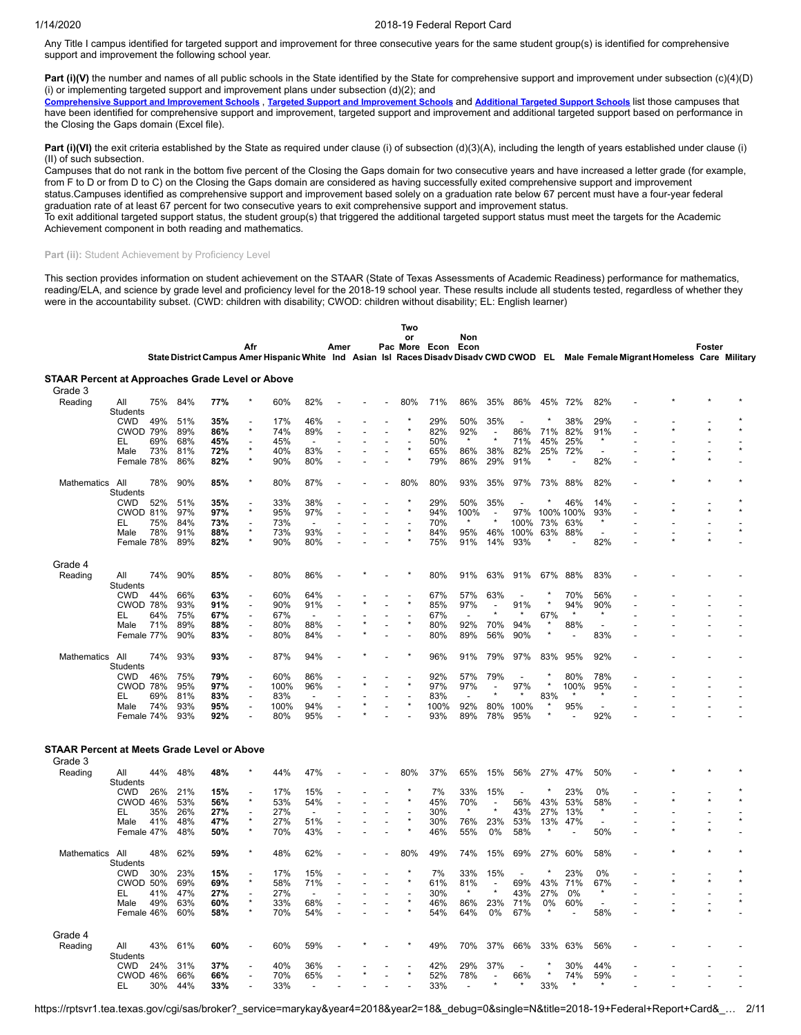Any Title I campus identified for targeted support and improvement for three consecutive years for the same student group(s) is identified for comprehensive support and improvement the following school year.

**Part (i)(V)** the number and names of all public schools in the State identified by the State for comprehensive support and improvement under subsection (c)(4)(D) (i) or implementing targeted support and improvement plans under subsection  $(d)(2)$ ; and

[Comprehensive](https://tea.texas.gov/sites/default/files/comprehensive_support_2019.xlsx) Support and [Improvement](https://tea.texas.gov/sites/default/files/target_support_2019.xlsx) Schools, Targeted Support and Improvement Schools and [Additional](https://tea.texas.gov/sites/default/files/additional_targeted_support_2019.xlsx) Targeted Support Schools list those campuses that have been identified for comprehensive support and improvement, targeted support and improvement and additional targeted support based on performance in the Closing the Gaps domain (Excel file).

Part (i)(VI) the exit criteria established by the State as required under clause (i) of subsection (d)(3)(A), including the length of years established under clause (i) (II) of such subsection.

Campuses that do not rank in the bottom five percent of the Closing the Gaps domain for two consecutive years and have increased a letter grade (for example, from F to D or from D to C) on the Closing the Gaps domain are considered as having successfully exited comprehensive support and improvement status.Campuses identified as comprehensive support and improvement based solely on a graduation rate below 67 percent must have a four-year federal

graduation rate of at least 67 percent for two consecutive years to exit comprehensive support and improvement status.

To exit additional targeted support status, the student group(s) that triggered the additional targeted support status must meet the targets for the Academic Achievement component in both reading and mathematics.

## Part (ii): Student Achievement by Proficiency Level

This section provides information on student achievement on the STAAR (State of Texas Assessments of Academic Readiness) performance for mathematics, reading/ELA, and science by grade level and proficiency level for the 2018-19 school year. These results include all students tested, regardless of whether they were in the accountability subset. (CWD: children with disability; CWOD: children without disability; EL: English learner)

|                                                         |                        |            |            |            |                |            |                       |      |                          | Two                                 |               |                          |                                     |                |           |                          |                          |    |                                                                                                                                    |        |  |
|---------------------------------------------------------|------------------------|------------|------------|------------|----------------|------------|-----------------------|------|--------------------------|-------------------------------------|---------------|--------------------------|-------------------------------------|----------------|-----------|--------------------------|--------------------------|----|------------------------------------------------------------------------------------------------------------------------------------|--------|--|
|                                                         |                        |            |            |            |                |            |                       |      |                          | or                                  |               | Non                      |                                     |                |           |                          |                          |    |                                                                                                                                    |        |  |
|                                                         |                        |            |            |            | Afr            |            |                       | Amer |                          |                                     | Pac More Econ | Econ                     |                                     |                |           |                          |                          |    |                                                                                                                                    | Foster |  |
|                                                         |                        |            |            |            |                |            |                       |      |                          |                                     |               |                          |                                     |                |           |                          |                          |    | State District Campus Amer Hispanic White Ind Asian Isl Races Disadv Disadv CWD CWOD EL Male Female Migrant Homeless Care Military |        |  |
| <b>STAAR Percent at Approaches Grade Level or Above</b> |                        |            |            |            |                |            |                       |      |                          |                                     |               |                          |                                     |                |           |                          |                          |    |                                                                                                                                    |        |  |
| Grade 3                                                 |                        |            |            |            |                |            |                       |      |                          |                                     |               |                          |                                     |                |           |                          |                          |    |                                                                                                                                    |        |  |
| Reading                                                 | All                    | 75%        | 84%        | 77%        |                | 60%        | 82%                   |      |                          | 80%                                 | 71%           | 86%                      | 35%                                 | 86%            | 45%       | 72%                      | 82%                      |    |                                                                                                                                    |        |  |
|                                                         | Students               |            |            |            |                |            |                       |      |                          |                                     |               |                          |                                     |                |           |                          |                          |    |                                                                                                                                    |        |  |
|                                                         | <b>CWD</b>             | 49%        | 51%        | 35%        |                | 17%        | 46%                   |      |                          |                                     | 29%           | 50%                      | 35%                                 |                |           | 38%                      | 29%                      |    |                                                                                                                                    |        |  |
|                                                         | <b>CWOD 79%</b>        |            | 89%        | 86%        | $\star$        | 74%        | 89%                   |      |                          |                                     | 82%           | 92%                      | $\overline{\phantom{a}}$            | 86%            | 71%       | 82%                      | 91%                      |    |                                                                                                                                    |        |  |
|                                                         | EL                     | 69%        | 68%        | 45%        |                | 45%        |                       |      |                          |                                     | 50%           | $\star$                  |                                     | 71%            | 45%       | 25%                      | $\star$                  |    |                                                                                                                                    |        |  |
|                                                         | Male                   | 73%        | 81%        | 72%        |                | 40%        | 83%                   |      |                          |                                     | 65%           | 86%                      | 38%                                 | 82%            | 25%       | 72%                      | $\overline{\phantom{a}}$ |    |                                                                                                                                    |        |  |
|                                                         | Female 78%             |            | 86%        | 82%        | $\star$        | 90%        | 80%                   |      |                          | $\star$                             | 79%           | 86%                      | 29%                                 | 91%            |           | $\overline{a}$           | 82%                      |    |                                                                                                                                    |        |  |
|                                                         |                        |            |            |            |                |            |                       |      |                          |                                     |               |                          |                                     |                |           |                          |                          |    |                                                                                                                                    |        |  |
| <b>Mathematics</b>                                      | All                    | 78%        | 90%        | 85%        | $\star$        | 80%        | 87%                   |      |                          | 80%                                 | 80%           | 93%                      | 35%                                 | 97%            | 73%       | 88%                      | 82%                      |    |                                                                                                                                    |        |  |
|                                                         | Students               |            |            |            |                |            |                       |      |                          |                                     |               |                          |                                     |                |           |                          |                          |    |                                                                                                                                    |        |  |
|                                                         | <b>CWD</b>             | 52%        | 51%        | 35%        | $\star$        | 33%        | 38%                   |      |                          |                                     | 29%           | 50%                      | 35%                                 |                |           | 46%                      | 14%                      |    |                                                                                                                                    |        |  |
|                                                         | CWOD 81%               |            | 97%        | 97%        |                | 95%        | 97%                   |      | L,                       |                                     | 94%           | 100%<br>$\star$          | $\overline{\phantom{a}}$            | 97%            |           | 100% 100%                | 93%<br>$\star$           |    |                                                                                                                                    |        |  |
|                                                         | EL                     | 75%        | 84%        | 73%        | L,             | 73%        | $\overline{a}$        |      |                          |                                     | 70%           |                          |                                     | 100%           | 73%       | 63%                      |                          |    |                                                                                                                                    |        |  |
|                                                         | Male<br>Female 78%     | 78%        | 91%<br>89% | 88%<br>82% | ÷              | 73%<br>90% | 93%<br>80%            |      |                          |                                     | 84%<br>75%    | 95%<br>91%               | 46%<br>14%                          | 100%<br>93%    | 63%       | 88%                      | 82%                      |    |                                                                                                                                    |        |  |
|                                                         |                        |            |            |            |                |            |                       |      |                          |                                     |               |                          |                                     |                |           |                          |                          |    |                                                                                                                                    |        |  |
| Grade 4                                                 |                        |            |            |            |                |            |                       |      |                          |                                     |               |                          |                                     |                |           |                          |                          |    |                                                                                                                                    |        |  |
|                                                         |                        |            |            |            |                |            |                       |      |                          |                                     |               |                          |                                     |                |           |                          |                          |    |                                                                                                                                    |        |  |
| Reading                                                 | All<br><b>Students</b> | 74%        | 90%        | 85%        |                | 80%        | 86%                   |      |                          |                                     | 80%           | 91%                      | 63%                                 | 91%            | 67%       | 88%                      | 83%                      |    |                                                                                                                                    |        |  |
|                                                         | <b>CWD</b>             | 44%        | 66%        | 63%        |                | 60%        | 64%                   |      |                          |                                     | 67%           | 57%                      | 63%                                 |                |           | 70%                      | 56%                      |    |                                                                                                                                    |        |  |
|                                                         | <b>CWOD 78%</b>        |            | 93%        | 91%        | Ĭ.             | 90%        | 91%                   |      |                          |                                     | 85%           | 97%                      | $\overline{\phantom{a}}$            | 91%            | $\star$   | 94%                      | 90%                      |    |                                                                                                                                    |        |  |
|                                                         | EL                     | 64%        | 75%        | 67%        | $\overline{a}$ | 67%        |                       |      |                          |                                     | 67%           | $\overline{\phantom{a}}$ | $\star$                             |                | 67%       |                          | $\star$                  |    |                                                                                                                                    |        |  |
|                                                         | Male                   | 71%        | 89%        | 88%        | Ĭ.             | 80%        | 88%                   |      | ÷,                       |                                     | 80%           | 92%                      | 70%                                 | 94%            | $\star$   | 88%                      | $\overline{a}$           |    |                                                                                                                                    |        |  |
|                                                         | Female 77%             |            | 90%        | 83%        | ÷,             | 80%        | 84%                   |      |                          |                                     | 80%           | 89%                      | 56%                                 | 90%            | $\star$   | $\overline{\phantom{a}}$ | 83%                      |    |                                                                                                                                    |        |  |
|                                                         |                        |            |            |            |                |            |                       |      |                          |                                     |               |                          |                                     |                |           |                          |                          |    |                                                                                                                                    |        |  |
| Mathematics All                                         |                        | 74%        | 93%        | 93%        | L,             | 87%        | 94%                   |      |                          |                                     | 96%           | 91%                      | 79%                                 | 97%            | 83%       | 95%                      | 92%                      |    |                                                                                                                                    |        |  |
|                                                         | <b>Students</b>        |            |            |            |                |            |                       |      |                          |                                     |               |                          |                                     |                |           |                          |                          |    |                                                                                                                                    |        |  |
|                                                         | <b>CWD</b>             | 46%        | 75%        | 79%        | L,             | 60%        | 86%                   |      |                          |                                     | 92%           | 57%                      | 79%                                 | $\overline{a}$ |           | 80%                      | 78%                      |    |                                                                                                                                    |        |  |
|                                                         | <b>CWOD 78%</b>        |            | 95%        | 97%        | Ĭ.             | 100%       | 96%                   |      | L.                       |                                     | 97%           | 97%                      |                                     | 97%            |           | 100%                     | 95%                      |    |                                                                                                                                    |        |  |
|                                                         | EL                     | 69%        | 81%        | 83%        | Ĭ.             | 83%        |                       |      |                          |                                     | 83%           |                          |                                     |                | 83%       |                          |                          |    |                                                                                                                                    |        |  |
|                                                         | Male                   | 74%        | 93%        | 95%        | ÷,             | 100%       | 94%                   |      |                          |                                     | 100%          | 92%                      | 80%                                 | 100%           |           | 95%                      | $\overline{\phantom{a}}$ |    |                                                                                                                                    |        |  |
|                                                         | Female 74%             |            | 93%        | 92%        |                | 80%        | 95%                   |      |                          |                                     | 93%           | 89%                      | 78%                                 | 95%            |           |                          | 92%                      |    |                                                                                                                                    |        |  |
|                                                         |                        |            |            |            |                |            |                       |      |                          |                                     |               |                          |                                     |                |           |                          |                          |    |                                                                                                                                    |        |  |
|                                                         |                        |            |            |            |                |            |                       |      |                          |                                     |               |                          |                                     |                |           |                          |                          |    |                                                                                                                                    |        |  |
| <b>STAAR Percent at Meets Grade Level or Above</b>      |                        |            |            |            |                |            |                       |      |                          |                                     |               |                          |                                     |                |           |                          |                          |    |                                                                                                                                    |        |  |
| Grade 3                                                 |                        |            |            |            |                |            |                       |      |                          |                                     |               |                          |                                     |                |           |                          |                          |    |                                                                                                                                    |        |  |
| Reading                                                 | All                    | 44%        | 48%        | 48%        |                | 44%        | 47%                   |      |                          | 80%                                 | 37%           | 65%                      | 15%                                 | 56%            | 27%       | 47%                      | 50%                      |    |                                                                                                                                    |        |  |
|                                                         | <b>Students</b>        |            |            |            |                |            |                       |      |                          |                                     |               |                          |                                     |                |           |                          |                          |    |                                                                                                                                    |        |  |
|                                                         | <b>CWD</b>             | 26%        | 21%        | 15%        |                | 17%        | 15%                   |      |                          |                                     | 7%            | 33%                      | 15%                                 |                |           | 23%                      | 0%                       |    |                                                                                                                                    |        |  |
|                                                         | CWOD 46%               |            | 53%        | 56%        | $\star$        | 53%        | 54%                   |      | $\overline{a}$           |                                     | 45%           | 70%                      | $\overline{\phantom{a}}$<br>$\star$ | 56%            | 43%       | 53%                      | 58%                      |    |                                                                                                                                    |        |  |
|                                                         | EL                     | 35%        | 26%        | 27%        | ÷,<br>$\star$  | 27%        | $\overline{a}$        |      | ÷,                       | $\overline{\phantom{a}}$<br>$\star$ | 30%           | $\star$                  |                                     | 43%            | 27%       | 13%                      | $\star$                  |    |                                                                                                                                    |        |  |
|                                                         | Male                   | 41%        | 48%        | 47%        | ×              | 27%        | 51%                   |      | $\overline{\phantom{a}}$ |                                     | 30%           | 76%                      | 23%                                 | 53%            | 13%       | 47%                      | $\overline{a}$           | ÷, |                                                                                                                                    |        |  |
|                                                         | Female 47%             |            | 48%        | 50%        |                | 70%        | 43%                   |      |                          |                                     | 46%           | 55%                      | 0%                                  | 58%            |           |                          | 50%                      | Ĭ. |                                                                                                                                    |        |  |
|                                                         |                        |            |            |            | $\star$        |            |                       |      |                          |                                     |               |                          |                                     |                |           |                          |                          |    |                                                                                                                                    |        |  |
| <b>Mathematics</b>                                      | All                    | 48%        | 62%        | 59%        |                | 48%        | 62%                   |      |                          | 80%                                 | 49%           | 74%                      | 15%                                 | 69%            | 27%       | 60%                      | 58%                      |    |                                                                                                                                    |        |  |
|                                                         | Students               |            |            |            |                |            |                       |      |                          |                                     |               |                          |                                     |                | ×         |                          |                          |    |                                                                                                                                    |        |  |
|                                                         | <b>CWD</b>             | 30%        | 23%        | 15%        | ×              | 17%        | 15%                   |      |                          |                                     | 7%            | 33%                      | 15%                                 |                |           | 23%                      | 0%                       |    |                                                                                                                                    |        |  |
|                                                         | <b>CWOD 50%</b>        |            | 69%<br>47% | 69%        |                | 58%        | 71%<br>$\overline{a}$ |      | ÷,                       |                                     | 61%           | 81%                      | $\overline{\phantom{a}}$            | 69%            | 43%       | 71%                      | 67%                      | ÷, |                                                                                                                                    |        |  |
|                                                         | EL<br>Male             | 41%<br>49% | 63%        | 27%<br>60% |                | 27%<br>33% | 68%                   |      | $\overline{a}$<br>Ĭ.     |                                     | 30%<br>46%    | 86%                      | 23%                                 | 43%<br>71%     | 27%<br>0% | 0%<br>60%                | $\overline{\phantom{a}}$ | Ĭ. |                                                                                                                                    |        |  |
|                                                         | Female 46%             |            | 60%        | 58%        |                | 70%        | 54%                   |      |                          |                                     | 54%           | 64%                      | 0%                                  | 67%            |           |                          | 58%                      | ٠  |                                                                                                                                    |        |  |
|                                                         |                        |            |            |            |                |            |                       |      |                          |                                     |               |                          |                                     |                |           |                          |                          |    |                                                                                                                                    |        |  |
| Grade 4                                                 |                        |            |            |            |                |            |                       |      |                          |                                     |               |                          |                                     |                |           |                          |                          |    |                                                                                                                                    |        |  |
|                                                         |                        |            |            |            |                |            |                       |      |                          |                                     |               |                          |                                     |                |           |                          |                          |    |                                                                                                                                    |        |  |
| Reading                                                 | All                    | 43%        | 61%        | 60%        |                | 60%        | 59%                   |      |                          |                                     | 49%           | 70%                      | 37%                                 | 66%            | 33%       | 63%                      | 56%                      |    |                                                                                                                                    |        |  |
|                                                         | <b>Students</b>        |            |            |            |                |            |                       |      |                          |                                     |               |                          |                                     |                |           |                          |                          |    |                                                                                                                                    |        |  |
|                                                         | CWD<br>CWOD 46%        | 24%        | 31%<br>66% | 37%<br>66% |                | 40%<br>70% | 36%<br>65%            |      |                          |                                     | 42%<br>52%    | 29%<br>78%               | 37%                                 | 66%            |           | 30%<br>74%               | 44%<br>59%               |    |                                                                                                                                    |        |  |
|                                                         | EL                     | 30%        | 44%        | 33%        |                | 33%        |                       |      |                          |                                     | 33%           | $\overline{a}$           |                                     |                | 33%       |                          |                          |    |                                                                                                                                    |        |  |
|                                                         |                        |            |            |            |                |            |                       |      |                          |                                     |               |                          |                                     |                |           |                          |                          |    |                                                                                                                                    |        |  |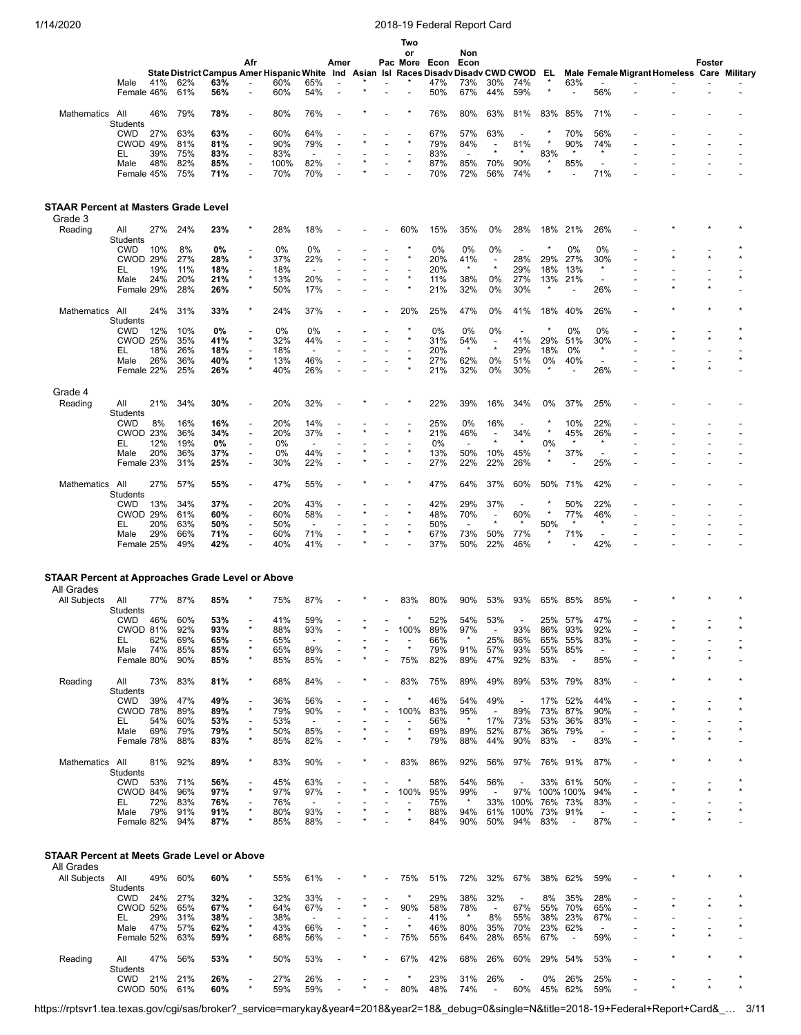|                                                                                       |                                                                              |                          |                                        |                                                                                                    | Afr                                        |                                        |                                 | Amer |  | Two<br>or<br>Pac More Econ              |                                        | Non<br>Econ                                |                                                            |                                                   |                                       |                                                   |                                                             |                                            |         | Foster |         |
|---------------------------------------------------------------------------------------|------------------------------------------------------------------------------|--------------------------|----------------------------------------|----------------------------------------------------------------------------------------------------|--------------------------------------------|----------------------------------------|---------------------------------|------|--|-----------------------------------------|----------------------------------------|--------------------------------------------|------------------------------------------------------------|---------------------------------------------------|---------------------------------------|---------------------------------------------------|-------------------------------------------------------------|--------------------------------------------|---------|--------|---------|
|                                                                                       | Male<br>Female 46%                                                           | 41%                      | 62%<br>61%                             | State District Campus Amer Hispanic White Ind Asian Isl Races Disady Disady CWD CWOD<br>63%<br>56% |                                            | 60%<br>60%                             | 65%<br>54%                      |      |  |                                         | 47%<br>50%                             | 73%<br>67%                                 | 30%<br>44%                                                 | 74%<br>59%                                        | EL<br>×                               | 63%                                               | 56%                                                         | Male Female Migrant Homeless Care Military |         |        |         |
| Mathematics                                                                           | All                                                                          | 46%                      | 79%                                    | 78%                                                                                                |                                            | 80%                                    | 76%                             |      |  |                                         | 76%                                    | 80%                                        | 63%                                                        | 81%                                               | 83%                                   | 85%                                               | 71%                                                         |                                            |         |        |         |
|                                                                                       | <b>Students</b>                                                              |                          |                                        |                                                                                                    |                                            |                                        |                                 |      |  |                                         |                                        |                                            |                                                            |                                                   |                                       |                                                   |                                                             |                                            |         |        |         |
|                                                                                       | <b>CWD</b><br>CWOD 49%                                                       | 27%                      | 63%<br>81%                             | 63%<br>81%                                                                                         | $\overline{a}$                             | 60%<br>90%                             | 64%<br>79%                      |      |  |                                         | 67%<br>79%                             | 57%<br>84%                                 | 63%<br>$\blacksquare$                                      | $\overline{\phantom{a}}$<br>81%                   |                                       | 70%<br>90%                                        | 56%<br>74%                                                  |                                            |         |        |         |
|                                                                                       | EL                                                                           | 39%                      | 75%                                    | 83%                                                                                                |                                            | 83%                                    |                                 |      |  |                                         | 83%                                    | ÷,                                         |                                                            |                                                   | 83%                                   | $\star$                                           | $\star$                                                     |                                            |         |        |         |
|                                                                                       | Male<br>Female 45%                                                           | 48%                      | 82%<br>75%                             | 85%<br>71%                                                                                         | $\overline{a}$                             | 100%<br>70%                            | 82%<br>70%                      |      |  |                                         | 87%<br>70%                             | 85%<br>72%                                 | 70%<br>56%                                                 | 90%<br>74%                                        | *<br>×                                | 85%                                               | ٠<br>71%                                                    |                                            |         |        |         |
| <b>STAAR Percent at Masters Grade Level</b><br>Grade 3                                |                                                                              |                          |                                        |                                                                                                    |                                            |                                        |                                 |      |  |                                         |                                        |                                            |                                                            |                                                   |                                       |                                                   |                                                             |                                            |         |        |         |
| Reading                                                                               | All<br>Students                                                              | 27%                      | 24%                                    | 23%                                                                                                |                                            | 28%                                    | 18%                             |      |  | 60%                                     | 15%                                    | 35%                                        | 0%                                                         | 28%                                               | 18%                                   | 21%                                               | 26%                                                         |                                            |         |        |         |
|                                                                                       | <b>CWD</b>                                                                   | 10%                      | 8%                                     | 0%                                                                                                 |                                            | 0%                                     | 0%                              |      |  |                                         | 0%                                     | 0%                                         | 0%                                                         |                                                   |                                       | 0%                                                | 0%                                                          |                                            |         |        |         |
|                                                                                       | <b>CWOD 29%</b>                                                              |                          | 27%                                    | 28%                                                                                                | $\star$                                    | 37%                                    | 22%                             |      |  |                                         | 20%                                    | 41%<br>$\star$                             | $\overline{\phantom{a}}$<br>$\star$                        | 28%                                               | 29%                                   | 27%                                               | 30%<br>$\star$                                              |                                            |         |        |         |
|                                                                                       | EL<br>Male                                                                   | 19%<br>24%               | 11%<br>20%                             | 18%<br>21%                                                                                         | $\star$                                    | 18%<br>13%                             | $\overline{a}$<br>20%           |      |  |                                         | 20%<br>11%                             | 38%                                        | 0%                                                         | 29%<br>27%                                        | 18%<br>13%                            | 13%<br>21%                                        | $\overline{\phantom{a}}$                                    |                                            |         |        |         |
|                                                                                       | Female 29%                                                                   |                          | 28%                                    | 26%                                                                                                |                                            | 50%                                    | 17%                             |      |  |                                         | 21%                                    | 32%                                        | 0%                                                         | 30%                                               | $\star$                               |                                                   | 26%                                                         |                                            |         |        |         |
| Mathematics All                                                                       | Students                                                                     | 24%                      | 31%                                    | 33%                                                                                                |                                            | 24%                                    | 37%                             |      |  | 20%                                     | 25%                                    | 47%                                        | 0%                                                         | 41%                                               | 18%                                   | 40%                                               | 26%                                                         |                                            |         |        |         |
|                                                                                       | <b>CWD</b>                                                                   | 12%                      | 10%                                    | 0%                                                                                                 |                                            | 0%                                     | 0%                              |      |  |                                         | 0%                                     | 0%                                         | 0%                                                         |                                                   |                                       | 0%                                                | 0%                                                          |                                            |         |        |         |
|                                                                                       | <b>CWOD 25%</b>                                                              |                          | 35%                                    | 41%                                                                                                | $\star$                                    | 32%                                    | 44%                             |      |  |                                         | 31%                                    | 54%<br>$\star$                             | $\overline{\phantom{a}}$<br>$\star$                        | 41%                                               | 29%                                   | 51%                                               | 30%<br>$\star$                                              |                                            |         |        |         |
|                                                                                       | EL<br>Male                                                                   | 18%<br>26%               | 26%<br>36%                             | 18%<br>40%                                                                                         | $\star$                                    | 18%<br>13%                             | $\overline{\phantom{a}}$<br>46% |      |  |                                         | 20%<br>27%                             | 62%                                        | 0%                                                         | 29%<br>51%                                        | 18%<br>0%                             | 0%<br>40%                                         | $\overline{\phantom{a}}$                                    |                                            |         |        |         |
|                                                                                       | Female 22%                                                                   |                          | 25%                                    | 26%                                                                                                | $\star$                                    | 40%                                    | 26%                             |      |  |                                         | 21%                                    | 32%                                        | 0%                                                         | 30%                                               | $\star$                               |                                                   | 26%                                                         |                                            |         |        |         |
| Grade 4                                                                               |                                                                              |                          |                                        |                                                                                                    |                                            |                                        |                                 |      |  |                                         |                                        |                                            |                                                            |                                                   |                                       |                                                   |                                                             |                                            |         |        |         |
| Reading                                                                               | All<br><b>Students</b>                                                       | 21%                      | 34%                                    | 30%                                                                                                |                                            | 20%                                    | 32%                             |      |  |                                         | 22%                                    | 39%                                        | 16%                                                        | 34%                                               | 0%                                    | 37%                                               | 25%                                                         |                                            |         |        |         |
|                                                                                       | <b>CWD</b>                                                                   | 8%                       | 16%                                    | 16%                                                                                                |                                            | 20%                                    | 14%                             |      |  |                                         | 25%                                    | 0%                                         | 16%                                                        |                                                   |                                       | 10%                                               | 22%                                                         |                                            |         |        |         |
|                                                                                       | <b>CWOD 23%</b>                                                              |                          | 36%                                    | 34%                                                                                                | $\overline{a}$                             | 20%                                    | 37%                             |      |  |                                         | 21%                                    | 46%                                        | $\overline{\phantom{a}}$<br>$\star$                        | 34%<br>$\star$                                    | $\star$                               | 45%                                               | 26%<br>$\star$                                              |                                            |         |        |         |
|                                                                                       | EL<br>Male                                                                   | 12%<br>20%               | 19%<br>36%                             | 0%<br>37%                                                                                          | $\overline{\phantom{a}}$<br>$\overline{a}$ | 0%<br>0%                               | $\overline{\phantom{a}}$<br>44% |      |  |                                         | 0%<br>13%                              | $\overline{\phantom{a}}$<br>50%            | 10%                                                        | 45%                                               | 0%                                    | 37%                                               | $\overline{\phantom{a}}$                                    |                                            |         |        |         |
|                                                                                       | Female 23%                                                                   |                          | 31%                                    | 25%                                                                                                | $\overline{a}$                             | 30%                                    | 22%                             |      |  |                                         | 27%                                    | 22%                                        | 22%                                                        | 26%                                               | ×                                     |                                                   | 25%                                                         |                                            |         |        |         |
| Mathematics All                                                                       |                                                                              | 27%                      | 57%                                    | 55%                                                                                                |                                            | 47%                                    | 55%                             |      |  |                                         | 47%                                    | 64%                                        | 37%                                                        | 60%                                               | 50%                                   | 71%                                               | 42%                                                         |                                            |         |        |         |
|                                                                                       | <b>Students</b><br><b>CWD</b>                                                | 13%                      | 34%                                    | 37%                                                                                                | $\overline{\phantom{a}}$                   | 20%                                    | 43%                             |      |  |                                         | 42%                                    | 29%                                        | 37%                                                        | $\overline{\phantom{a}}$                          |                                       | 50%                                               | 22%                                                         |                                            |         |        |         |
|                                                                                       | <b>CWOD 29%</b>                                                              |                          | 61%                                    | 60%                                                                                                | $\overline{a}$                             | 60%                                    | 58%                             |      |  |                                         | 48%                                    | 70%                                        |                                                            | 60%                                               | $\star$                               | 77%                                               | 46%                                                         |                                            |         |        |         |
|                                                                                       | EL                                                                           | 20%                      | 63%                                    | 50%                                                                                                | $\overline{\phantom{a}}$                   | 50%                                    | $\overline{\phantom{a}}$        |      |  |                                         | 50%                                    | $\blacksquare$                             |                                                            |                                                   | 50%                                   |                                                   |                                                             |                                            |         |        |         |
|                                                                                       | Male<br>Female 25%                                                           | 29%                      | 66%<br>49%                             | 71%<br>42%                                                                                         |                                            | 60%<br>40%                             | 71%<br>41%                      |      |  |                                         | 67%<br>37%                             | 73%<br>50%                                 | 50%<br>22%                                                 | 77%<br>46%                                        |                                       | 71%                                               | $\overline{\phantom{a}}$<br>42%                             |                                            |         |        |         |
| <b>STAAR Percent at Approaches Grade Level or Above</b><br>All Grades<br>All Subjects | All                                                                          | 77%                      | 87%                                    | 85%                                                                                                |                                            | 75%                                    | 87%                             |      |  | 83%                                     | 80%                                    | 90%                                        | 53%                                                        | 93%                                               | 65%                                   | 85%                                               | 85%                                                         |                                            |         |        |         |
|                                                                                       | Students<br><b>CWD</b>                                                       | 46%                      | 60%                                    | 53%                                                                                                |                                            | 41%                                    | 59%                             |      |  |                                         | 52%                                    | 54%                                        | 53%                                                        |                                                   | 25%                                   | 57%                                               | 47%                                                         |                                            |         |        |         |
|                                                                                       | CWOD 81%                                                                     |                          | 92%                                    | 93%                                                                                                |                                            | 88%                                    | 93%                             |      |  | 100%                                    | 89%                                    | 97%                                        |                                                            | 93%                                               | 86%                                   | 93%                                               | 92%                                                         |                                            |         |        |         |
|                                                                                       | EL<br>Male                                                                   | 62%<br>74%               | 69%<br>85%                             | 65%<br>85%                                                                                         |                                            | 65%<br>65%                             | 89%                             |      |  |                                         | 66%<br>79%                             | $\star$<br>91%                             | 25%<br>57%                                                 | 86%<br>93%                                        | 65%<br>55%                            | 55%<br>85%                                        | 83%<br>$\overline{\phantom{a}}$                             |                                            |         |        |         |
|                                                                                       | Female 80%                                                                   |                          | 90%                                    | 85%                                                                                                | $\star$                                    | 85%                                    | 85%                             |      |  | 75%                                     | 82%                                    | 89%                                        | 47%                                                        | 92%                                               | 83%                                   | $\overline{\phantom{a}}$                          | 85%                                                         |                                            |         |        |         |
| Reading                                                                               | All                                                                          | 73%                      | 83%                                    | 81%                                                                                                |                                            | 68%                                    | 84%                             |      |  | 83%                                     | 75%                                    | 89%                                        | 49%                                                        | 89%                                               |                                       | 53% 79%                                           | 83%                                                         |                                            |         |        |         |
|                                                                                       | Students<br><b>CWD</b>                                                       | 39%                      | 47%                                    | 49%                                                                                                |                                            | 36%                                    | 56%                             |      |  | $\ast$                                  | 46%                                    | 54%                                        | 49%                                                        | $\overline{\phantom{a}}$                          | 17%                                   | 52%                                               | 44%                                                         |                                            |         |        |         |
|                                                                                       | CWOD 78%                                                                     |                          | 89%                                    | 89%                                                                                                | $\star$                                    | 79%                                    | 90%                             |      |  | 100%                                    | 83%                                    | 95%                                        | $\overline{\phantom{a}}$                                   | 89%                                               | 73%                                   | 87%                                               | 90%                                                         |                                            |         |        |         |
|                                                                                       | EL<br>Male                                                                   | 54%<br>69%               | 60%<br>79%                             | 53%<br>79%                                                                                         |                                            | 53%<br>50%                             | $\blacksquare$<br>85%           |      |  | $\overline{\phantom{a}}$<br>$\star$     | 56%<br>69%                             | $\star$<br>89%                             | 17%<br>52%                                                 | 73%<br>87%                                        | 53%<br>36%                            | 36%<br>79%                                        | 83%<br>$\overline{\phantom{a}}$                             |                                            |         |        |         |
|                                                                                       | Female 78%                                                                   |                          | 88%                                    | 83%                                                                                                | $\star$                                    | 85%                                    | 82%                             |      |  | $\star$                                 | 79%                                    | 88%                                        | 44%                                                        | 90%                                               | 83%                                   | $\overline{\phantom{a}}$                          | 83%                                                         |                                            | $\star$ |        |         |
| Mathematics                                                                           | All                                                                          | 81%                      | 92%                                    | 89%                                                                                                |                                            | 83%                                    | 90%                             |      |  | 83%                                     | 86%                                    | 92%                                        | 56%                                                        | 97%                                               |                                       | 76% 91%                                           | 87%                                                         |                                            |         |        |         |
|                                                                                       | Students<br><b>CWD</b>                                                       | 53%                      | 71%                                    | 56%                                                                                                |                                            | 45%                                    | 63%                             |      |  | $\star$                                 | 58%                                    | 54%                                        | 56%                                                        |                                                   | 33%                                   | 61%                                               | 50%                                                         |                                            |         |        |         |
|                                                                                       | CWOD 84%                                                                     |                          | 96%                                    | 97%                                                                                                | $\star$                                    | 97%                                    | 97%                             |      |  | 100%                                    | 95%                                    | 99%                                        | $\overline{\phantom{a}}$                                   | 97%                                               |                                       | 100% 100%                                         | 94%                                                         |                                            | $\star$ |        |         |
|                                                                                       | EL                                                                           | 72%<br>79%               | 83%<br>91%                             | 76%                                                                                                | $\star$                                    | 76%<br>80%                             | $\overline{\phantom{a}}$<br>93% |      |  | $\star$                                 | 75%<br>88%                             | $\star$<br>94%                             | 33%<br>61%                                                 | 100%<br>100%                                      | 76%<br>73%                            | 73%<br>91%                                        | 83%<br>$\overline{\phantom{a}}$                             |                                            |         |        | $\star$ |
|                                                                                       | Male<br>Female 82%                                                           |                          | 94%                                    | 91%<br>87%                                                                                         |                                            | 85%                                    | 88%                             |      |  |                                         | 84%                                    | 90%                                        | 50%                                                        | 94%                                               | 83%                                   | $\blacksquare$                                    | 87%                                                         |                                            |         |        |         |
| <b>STAAR Percent at Meets Grade Level or Above</b><br>All Grades<br>All Subjects      | All<br>Students<br><b>CWD</b><br><b>CWOD 52%</b><br>EL<br>Male<br>Female 52% | 49%<br>24%<br>29%<br>47% | 60%<br>27%<br>65%<br>31%<br>57%<br>63% | 60%<br>32%<br>67%<br>38%<br>62%<br>59%                                                             | $\star$<br>$\star$<br>$\star$              | 55%<br>32%<br>64%<br>38%<br>43%<br>68% | 61%<br>33%<br>67%<br>66%<br>56% |      |  | 75%<br>$\star$<br>90%<br>$\star$<br>75% | 51%<br>29%<br>58%<br>41%<br>46%<br>55% | 72%<br>38%<br>78%<br>$\star$<br>80%<br>64% | 32%<br>32%<br>$\overline{\phantom{a}}$<br>8%<br>35%<br>28% | 67%<br>$\overline{a}$<br>67%<br>55%<br>70%<br>65% | 38%<br>8%<br>55%<br>38%<br>23%<br>67% | 62%<br>35%<br>70%<br>23%<br>62%<br>$\blacksquare$ | 59%<br>28%<br>65%<br>67%<br>$\overline{\phantom{a}}$<br>59% |                                            |         |        |         |
|                                                                                       |                                                                              |                          |                                        |                                                                                                    |                                            |                                        |                                 |      |  |                                         |                                        |                                            |                                                            |                                                   |                                       |                                                   |                                                             |                                            |         |        |         |
| Reading                                                                               | All<br>Students                                                              | 47%                      | 56%                                    | 53%                                                                                                |                                            | 50%                                    | 53%                             |      |  | 67%                                     | 42%                                    | 68%                                        | 26%                                                        | 60%                                               | 29%                                   | 54%                                               | 53%                                                         |                                            |         |        |         |
|                                                                                       | CWD<br>CWOD 50%                                                              | 21%                      | 21%<br>61%                             | 26%<br>60%                                                                                         | $\star$                                    | 27%<br>59%                             | 26%<br>59%                      |      |  | 80%                                     | 23%<br>48%                             | 31%<br>74%                                 | 26%<br>$\overline{\phantom{a}}$                            | 60%                                               | 0%                                    | 26%<br>45% 62%                                    | 25%<br>59%                                                  |                                            | $\star$ |        |         |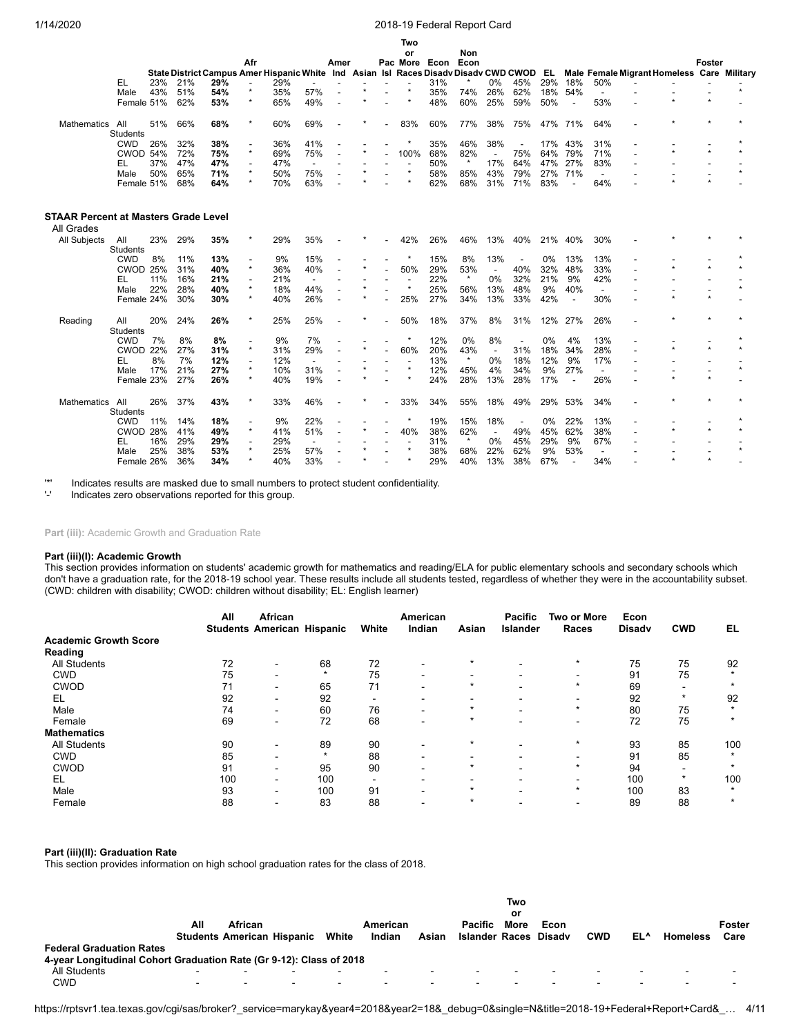|                                      |                 |     |     |                                               |                          |     |                          |                          |   | Two                      |      |                                           |                          |                          |     |                          |                          |                                            |               |         |
|--------------------------------------|-----------------|-----|-----|-----------------------------------------------|--------------------------|-----|--------------------------|--------------------------|---|--------------------------|------|-------------------------------------------|--------------------------|--------------------------|-----|--------------------------|--------------------------|--------------------------------------------|---------------|---------|
|                                      |                 |     |     |                                               |                          |     |                          |                          |   | or                       |      | Non                                       |                          |                          |     |                          |                          |                                            |               |         |
|                                      |                 |     |     |                                               | Afr                      |     |                          | Amer                     |   | Pac More                 | Econ | Econ                                      |                          |                          |     |                          |                          |                                            | <b>Foster</b> |         |
|                                      |                 |     |     | State District Campus Amer Hispanic White Ind |                          |     |                          |                          |   |                          |      | Asian Isl Races Disady Disady CWD CWOD EL |                          |                          |     |                          |                          | Male Female Migrant Homeless Care Military |               |         |
| EL                                   |                 | 23% | 21% | 29%                                           | $\overline{\phantom{a}}$ | 29% |                          |                          |   |                          | 31%  |                                           | 0%                       | 45%                      | 29% | 18%                      | 50%                      |                                            |               |         |
|                                      | Male            | 43% | 51% | 54%                                           | $\star$                  | 35% | 57%                      |                          |   | $\star$                  | 35%  | 74%                                       | 26%                      | 62%                      | 18% | 54%                      | $\overline{a}$           |                                            |               |         |
|                                      | Female 51%      |     | 62% | 53%                                           | $\star$                  | 65% | 49%                      | $\overline{\phantom{a}}$ |   |                          | 48%  | 60%                                       | 25%                      | 59%                      | 50% | $\overline{a}$           | 53%                      | $\star$                                    | $\star$       |         |
| Mathematics<br>All                   |                 | 51% | 66% | 68%                                           | $\star$                  | 60% | 69%                      |                          |   | 83%                      | 60%  | 77%                                       | 38%                      | 75%                      |     | 47% 71%                  | 64%                      |                                            |               |         |
|                                      | <b>Students</b> |     |     |                                               |                          |     |                          |                          |   |                          |      |                                           |                          |                          |     |                          |                          |                                            |               |         |
|                                      | <b>CWD</b>      | 26% | 32% | 38%                                           |                          | 36% | 41%                      |                          |   | $\star$                  | 35%  | 46%                                       | 38%                      | $\overline{\phantom{a}}$ | 17% | 43%                      | 31%                      |                                            |               |         |
|                                      | <b>CWOD 54%</b> |     | 72% | 75%                                           | $\star$                  | 69% | 75%                      |                          |   | 100%                     | 68%  | 82%                                       | $\overline{\phantom{a}}$ | 75%                      | 64% | 79%                      | 71%                      |                                            |               |         |
| EL                                   |                 | 37% | 47% | 47%                                           | $\overline{\phantom{a}}$ | 47% | $\overline{\phantom{a}}$ |                          |   |                          | 50%  | $\star$                                   | 17%                      | 64%                      | 47% | 27%                      | 83%                      |                                            |               |         |
|                                      | Male            | 50% | 65% | 71%                                           | $\star$                  | 50% | 75%                      |                          |   | $\star$                  | 58%  | 85%                                       | 43%                      | 79%                      | 27% | 71%                      | $\overline{\phantom{a}}$ |                                            |               | $\star$ |
|                                      | Female 51%      |     | 68% | 64%                                           | $\star$                  | 70% | 63%                      |                          |   |                          | 62%  | 68%                                       | 31%                      | 71%                      | 83% | $\overline{a}$           | 64%                      |                                            | $\star$       |         |
| STAAR Percent at Masters Grade Level |                 |     |     |                                               |                          |     |                          |                          |   |                          |      |                                           |                          |                          |     |                          |                          |                                            |               |         |
| All Grades                           |                 |     |     |                                               |                          |     |                          |                          |   |                          |      |                                           |                          |                          |     |                          |                          |                                            |               |         |
|                                      |                 |     |     |                                               | $\star$                  |     |                          |                          |   |                          |      |                                           |                          |                          |     |                          |                          |                                            |               |         |
| All Subjects<br>All                  | Students        | 23% | 29% | 35%                                           |                          | 29% | 35%                      |                          |   | 42%                      | 26%  | 46%                                       | 13%                      | 40%                      | 21% | 40%                      | 30%                      |                                            |               |         |
|                                      | <b>CWD</b>      | 8%  | 11% | 13%                                           |                          | 9%  | 15%                      |                          |   | $\star$                  | 15%  | 8%                                        | 13%                      | $\overline{\phantom{a}}$ | 0%  | 13%                      | 13%                      |                                            |               |         |
|                                      | <b>CWOD 25%</b> |     | 31% | 40%                                           | $\star$                  | 36% | 40%                      |                          |   | 50%                      | 29%  | 53%                                       | $\overline{\phantom{a}}$ | 40%                      | 32% | 48%                      | 33%                      | $\star$                                    |               |         |
| EL                                   |                 | 11% | 16% | 21%                                           | $\overline{a}$           | 21% | $\overline{\phantom{a}}$ |                          |   | $\overline{\phantom{a}}$ | 22%  | $\star$                                   | 0%                       | 32%                      | 21% | 9%                       | 42%                      |                                            |               |         |
|                                      | Male            | 22% | 28% | 40%                                           | $\star$                  | 18% | 44%                      |                          | ÷ | $\star$                  | 25%  | 56%                                       | 13%                      | 48%                      | 9%  | 40%                      | $\overline{\phantom{a}}$ |                                            |               | $\star$ |
|                                      | Female 24%      |     | 30% | 30%                                           | $\star$                  | 40% | 26%                      |                          |   | 25%                      | 27%  | 34%                                       | 13%                      | 33%                      | 42% | $\blacksquare$           | 30%                      |                                            | $\star$       |         |
|                                      |                 |     |     |                                               |                          |     |                          |                          |   |                          |      |                                           |                          |                          |     |                          |                          |                                            |               |         |
| Reading<br>All                       |                 | 20% | 24% | 26%                                           | $\star$                  | 25% | 25%                      |                          |   | 50%                      | 18%  | 37%                                       | 8%                       | 31%                      | 12% | 27%                      | 26%                      |                                            |               |         |
|                                      | <b>Students</b> |     |     |                                               |                          |     |                          |                          |   |                          |      |                                           |                          |                          |     |                          |                          |                                            |               |         |
|                                      | <b>CWD</b>      | 7%  | 8%  | 8%                                            |                          | 9%  | 7%                       |                          |   | $\star$                  | 12%  | 0%                                        | 8%                       | $\overline{\phantom{a}}$ | 0%  | 4%                       | 13%                      |                                            |               |         |
|                                      | <b>CWOD 22%</b> |     | 27% | 31%                                           | $\star$                  | 31% | 29%                      |                          |   | 60%                      | 20%  | 43%                                       | $\overline{\phantom{a}}$ | 31%                      | 18% | 34%                      | 28%                      |                                            |               |         |
| EL                                   |                 | 8%  | 7%  | 12%                                           | $\overline{\phantom{a}}$ | 12% | $\overline{\phantom{a}}$ |                          |   | $\overline{\phantom{a}}$ | 13%  | $\star$                                   | 0%                       | 18%                      | 12% | 9%                       | 17%                      |                                            |               |         |
|                                      | Male            | 17% | 21% | 27%                                           | $\star$                  | 10% | 31%                      |                          |   | $\star$                  | 12%  | 45%                                       | 4%                       | 34%                      | 9%  | 27%                      | $\overline{a}$           |                                            |               | $\star$ |
|                                      | Female 23%      |     | 27% | 26%                                           | $\star$                  | 40% | 19%                      |                          |   |                          | 24%  | 28%                                       | 13%                      | 28%                      | 17% | $\overline{\phantom{a}}$ | 26%                      |                                            |               |         |
|                                      |                 |     |     |                                               | $\star$                  |     |                          |                          |   |                          |      |                                           |                          |                          |     |                          |                          |                                            |               |         |
| All<br><b>Mathematics</b>            | Students        | 26% | 37% | 43%                                           |                          | 33% | 46%                      |                          |   | 33%                      | 34%  | 55%                                       | 18%                      | 49%                      | 29% | 53%                      | 34%                      |                                            |               |         |
|                                      | <b>CWD</b>      | 11% | 14% | 18%                                           | $\overline{\phantom{a}}$ | 9%  | 22%                      |                          |   | $\star$                  | 19%  | 15%                                       | 18%                      | $\overline{\phantom{a}}$ | 0%  | 22%                      | 13%                      |                                            |               |         |
|                                      | CWOD 28%        |     | 41% | 49%                                           | $\star$                  | 41% | 51%                      |                          |   | 40%                      | 38%  | 62%                                       | $\blacksquare$           | 49%                      | 45% | 62%                      | 38%                      | $\star$                                    |               |         |
| EL                                   |                 | 16% | 29% | 29%                                           |                          | 29% | $\overline{\phantom{a}}$ |                          |   |                          | 31%  | $\star$                                   | 0%                       | 45%                      | 29% | 9%                       | 67%                      |                                            |               |         |
|                                      | Male            | 25% | 38% | 53%                                           |                          | 25% | 57%                      |                          |   | $\star$                  | 38%  | 68%                                       | 22%                      | 62%                      | 9%  | 53%                      | $\overline{a}$           |                                            |               | $\star$ |
|                                      |                 |     |     |                                               | $\star$                  |     |                          |                          |   | $\star$                  |      |                                           |                          |                          |     |                          |                          |                                            | $\star$       |         |
|                                      | Female 26%      |     | 36% | 34%                                           |                          | 40% | 33%                      |                          |   |                          | 29%  | 40%                                       | 13%                      | 38%                      | 67% |                          | 34%                      |                                            |               |         |

'\*' Indicates results are masked due to small numbers to protect student confidentiality.

Indicates zero observations reported for this group.

Part (iii): Academic Growth and Graduation Rate

#### **Part (iii)(I): Academic Growth**

This section provides information on students' academic growth for mathematics and reading/ELA for public elementary schools and secondary schools which don't have a graduation rate, for the 2018-19 school year. These results include all students tested, regardless of whether they were in the accountability subset. (CWD: children with disability; CWOD: children without disability; EL: English learner)

|                              | All | African                           |         |       | American                 |         | <b>Pacific</b> | <b>Two or More</b>   | Econ          |                |                      |
|------------------------------|-----|-----------------------------------|---------|-------|--------------------------|---------|----------------|----------------------|---------------|----------------|----------------------|
|                              |     | <b>Students American Hispanic</b> |         | White | Indian                   | Asian   | Islander       | Races                | <b>Disadv</b> | <b>CWD</b>     | EL                   |
| <b>Academic Growth Score</b> |     |                                   |         |       |                          |         |                |                      |               |                |                      |
| Reading                      |     |                                   |         |       |                          |         |                |                      |               |                |                      |
| <b>All Students</b>          | 72  |                                   | 68      | 72    |                          | $\star$ |                | $\star$              | 75            | 75             | 92                   |
| <b>CWD</b>                   | 75  | $\sim$                            | $\star$ | 75    |                          |         |                |                      | 91            | 75             | $\star$              |
| <b>CWOD</b>                  | 71  | -                                 | 65      | 71    |                          |         | -              | $\ddot{\phantom{1}}$ | 69            | -              | $\star$              |
| EL                           | 92  | ۰                                 | 92      |       |                          |         |                |                      | 92            | $\star$        | 92                   |
| Male                         | 74  | $\blacksquare$                    | 60      | 76    | $\overline{\phantom{0}}$ | $\star$ |                | $\star$              | 80            | 75             | $\star$              |
| Female                       | 69  | ۰.                                | 72      | 68    | $\overline{\phantom{0}}$ | ÷       |                |                      | 72            | 75             | $\star$              |
| <b>Mathematics</b>           |     |                                   |         |       |                          |         |                |                      |               |                |                      |
| <b>All Students</b>          | 90  |                                   | 89      | 90    |                          | $\star$ | -              | $\star$              | 93            | 85             | 100                  |
| <b>CWD</b>                   | 85  | -                                 | $\star$ | 88    |                          |         |                |                      | 91            | 85             |                      |
| <b>CWOD</b>                  | 91  | -                                 | 95      | 90    |                          | ÷       |                | $\star$              | 94            | $\blacksquare$ | $\star$              |
| EL                           | 100 | $\sim$                            | 100     |       |                          |         |                |                      | 100           | $\star$        | 100                  |
| Male                         | 93  | ۰.                                | 100     | 91    |                          | ÷       |                | $\ddot{\phantom{1}}$ | 100           | 83             | $\ddot{\phantom{1}}$ |
| Female                       | 88  |                                   | 83      | 88    |                          | ÷       |                |                      | 89            | 88             | $\star$              |

#### **Part (iii)(II): Graduation Rate**

This section provides information on high school graduation rates for the class of 2018.

|                                                                                                                               | All                                        | African<br><b>Students American Hispanic</b> |        | White                                      | American<br>Indian               | Asian                                      | <b>Pacific</b><br>Islander Races Disady | Two<br>or<br>More        | Econ | <b>CWD</b>                       | EL^                      | <b>Homeless</b>                    | Foster<br>Care                                       |
|-------------------------------------------------------------------------------------------------------------------------------|--------------------------------------------|----------------------------------------------|--------|--------------------------------------------|----------------------------------|--------------------------------------------|-----------------------------------------|--------------------------|------|----------------------------------|--------------------------|------------------------------------|------------------------------------------------------|
| <b>Federal Graduation Rates</b><br>4-year Longitudinal Cohort Graduation Rate (Gr 9-12): Class of 2018<br>All Students<br>CWD | $\blacksquare$<br>$\overline{\phantom{a}}$ | $\blacksquare$<br>$\blacksquare$             | ٠<br>٠ | $\overline{\phantom{a}}$<br>$\blacksquare$ | $\overline{\phantom{a}}$<br>$\,$ | $\overline{\phantom{a}}$<br>$\blacksquare$ |                                         | $\overline{\phantom{a}}$ | $\,$ | $\overline{\phantom{a}}$<br>$\,$ | $\overline{\phantom{0}}$ | $\sim$<br>$\overline{\phantom{0}}$ | $\overline{\phantom{a}}$<br>$\overline{\phantom{0}}$ |

https://rptsvr1.tea.texas.gov/cgi/sas/broker?\_service=marykay&year4=2018&year2=18&\_debug=0&single=N&title=2018-19+Federal+Report+Card&\_… 4/11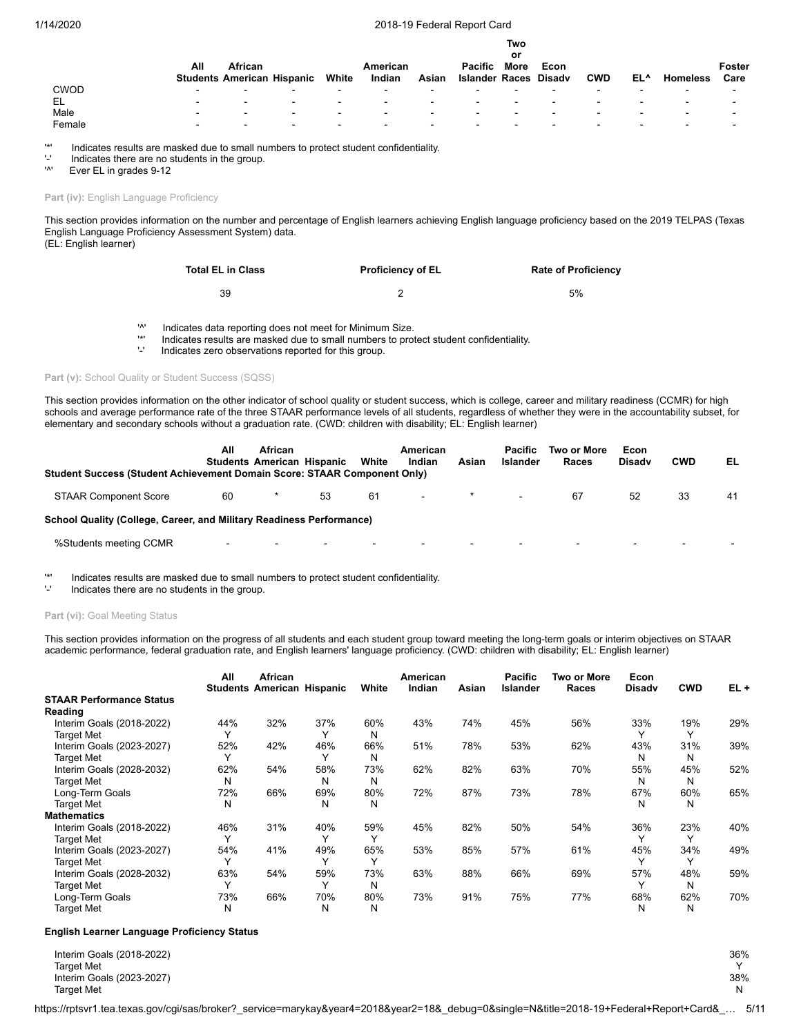**Two**

|             | All | African                  |                                   |                          | American |                          | <b>Pacific</b>        | .<br>or<br><b>More</b>   | Econ |                          |                          |                 | Foster |
|-------------|-----|--------------------------|-----------------------------------|--------------------------|----------|--------------------------|-----------------------|--------------------------|------|--------------------------|--------------------------|-----------------|--------|
|             |     |                          | <b>Students American Hispanic</b> | White                    | Indian   | Asian                    | Islander Races Disady |                          |      | <b>CWD</b>               | EL^                      | <b>Homeless</b> | Care   |
| <b>CWOD</b> | -   | $\overline{\phantom{0}}$ | -                                 | $\overline{\phantom{a}}$ |          | $\overline{\phantom{0}}$ |                       | -                        | -    | $\overline{\phantom{a}}$ | $\overline{\phantom{0}}$ | $\sim$          | -      |
| EL          |     | $\overline{\phantom{0}}$ | -                                 | $\overline{\phantom{0}}$ | -        | -                        | -                     | $\overline{\phantom{0}}$ |      | $\overline{\phantom{a}}$ | $\overline{\phantom{0}}$ | -               | -      |
| Male        | -   | $\overline{\phantom{0}}$ | -                                 | $\overline{\phantom{0}}$ | -        | -                        |                       | $\overline{\phantom{0}}$ |      | $\overline{\phantom{a}}$ | $\overline{\phantom{0}}$ | $\sim$          | -      |
| Female      |     | $\overline{\phantom{a}}$ | -                                 | $\overline{\phantom{a}}$ | -        | $\overline{\phantom{0}}$ | -                     |                          |      | $\overline{\phantom{a}}$ |                          | -               | -      |
|             |     |                          |                                   |                          |          |                          |                       |                          |      |                          |                          |                 |        |

'\*' Indicates results are masked due to small numbers to protect student confidentiality.

'-' Indicates there are no students in the group.<br>'<sup>"</sup> Ever El in grades 9-12

Ever EL in grades 9-12

Part (iv): English Language Proficiency

This section provides information on the number and percentage of English learners achieving English language proficiency based on the 2019 TELPAS (Texas English Language Proficiency Assessment System) data. (EL: English learner)

| Total EL in Class | <b>Proficiency of EL</b> | <b>Rate of Proficiency</b> |
|-------------------|--------------------------|----------------------------|
| 39                |                          | 5%                         |

'^' Indicates data reporting does not meet for Minimum Size.

'\*' Indicates results are masked due to small numbers to protect student confidentiality.

Indicates zero observations reported for this group.

#### Part (v): School Quality or Student Success (SQSS)

This section provides information on the other indicator of school quality or student success, which is college, career and military readiness (CCMR) for high schools and average performance rate of the three STAAR performance levels of all students, regardless of whether they were in the accountability subset, for elementary and secondary schools without a graduation rate. (CWD: children with disability; EL: English learner)

| <b>Student Success (Student Achievement Domain Score: STAAR Component Only)</b> | All                      | <b>African</b><br><b>Students American Hispanic</b> |                          | White  | American<br>Indian       | Asian                       | Pacific<br>Islander | Two or More<br>Races     | Econ<br><b>Disady</b> | <b>CWD</b> | EL. |
|---------------------------------------------------------------------------------|--------------------------|-----------------------------------------------------|--------------------------|--------|--------------------------|-----------------------------|---------------------|--------------------------|-----------------------|------------|-----|
| <b>STAAR Component Score</b>                                                    | 60                       |                                                     | 53                       | 61     | $\sim$                   | $\mathbf x$ and $\mathbf x$ | $\sim$              | 67                       | 52                    | 33         | 41  |
| School Quality (College, Career, and Military Readiness Performance)            |                          |                                                     |                          |        |                          |                             |                     |                          |                       |            |     |
| %Students meeting CCMR                                                          | $\overline{\phantom{0}}$ | $\overline{\phantom{a}}$                            | $\overline{\phantom{a}}$ | $\sim$ | $\overline{\phantom{a}}$ |                             | $\blacksquare$      | $\overline{\phantom{a}}$ | $\sim$                | $\,$       |     |

'\*' Indicates results are masked due to small numbers to protect student confidentiality.

Indicates there are no students in the group.

## Part (vi): Goal Meeting Status

This section provides information on the progress of all students and each student group toward meeting the long-term goals or interim objectives on STAAR academic performance, federal graduation rate, and English learners' language proficiency. (CWD: children with disability; EL: English learner)

| All          | African                                                             |                                                      |                                                                                                          | American                                                                                    |                                                                | <b>Pacific</b>                                                | Two or More                                                      | Econ                                                          |                                                                                           |                                                                                             |
|--------------|---------------------------------------------------------------------|------------------------------------------------------|----------------------------------------------------------------------------------------------------------|---------------------------------------------------------------------------------------------|----------------------------------------------------------------|---------------------------------------------------------------|------------------------------------------------------------------|---------------------------------------------------------------|-------------------------------------------------------------------------------------------|---------------------------------------------------------------------------------------------|
|              |                                                                     |                                                      |                                                                                                          |                                                                                             |                                                                |                                                               |                                                                  |                                                               |                                                                                           | $EL +$                                                                                      |
|              |                                                                     |                                                      |                                                                                                          |                                                                                             |                                                                |                                                               |                                                                  |                                                               |                                                                                           |                                                                                             |
|              |                                                                     |                                                      |                                                                                                          |                                                                                             |                                                                |                                                               |                                                                  |                                                               |                                                                                           | 29%                                                                                         |
| $\checkmark$ |                                                                     | $\checkmark$                                         |                                                                                                          |                                                                                             |                                                                |                                                               |                                                                  |                                                               | $\checkmark$                                                                              |                                                                                             |
|              |                                                                     |                                                      |                                                                                                          |                                                                                             |                                                                |                                                               |                                                                  |                                                               |                                                                                           | 39%                                                                                         |
|              |                                                                     |                                                      |                                                                                                          |                                                                                             |                                                                |                                                               |                                                                  |                                                               |                                                                                           |                                                                                             |
|              |                                                                     |                                                      |                                                                                                          |                                                                                             |                                                                |                                                               |                                                                  |                                                               |                                                                                           | 52%                                                                                         |
|              |                                                                     |                                                      |                                                                                                          |                                                                                             |                                                                |                                                               |                                                                  |                                                               |                                                                                           |                                                                                             |
|              |                                                                     |                                                      |                                                                                                          |                                                                                             |                                                                |                                                               |                                                                  |                                                               |                                                                                           | 65%                                                                                         |
|              |                                                                     |                                                      |                                                                                                          |                                                                                             |                                                                |                                                               |                                                                  |                                                               |                                                                                           |                                                                                             |
|              |                                                                     |                                                      |                                                                                                          |                                                                                             |                                                                |                                                               |                                                                  |                                                               |                                                                                           |                                                                                             |
|              |                                                                     |                                                      |                                                                                                          |                                                                                             |                                                                |                                                               |                                                                  |                                                               |                                                                                           | 40%                                                                                         |
| $\checkmark$ |                                                                     |                                                      | $\checkmark$                                                                                             |                                                                                             |                                                                |                                                               |                                                                  |                                                               | $\checkmark$                                                                              |                                                                                             |
|              |                                                                     |                                                      |                                                                                                          |                                                                                             |                                                                |                                                               |                                                                  |                                                               |                                                                                           | 49%                                                                                         |
|              |                                                                     |                                                      | $\checkmark$                                                                                             |                                                                                             |                                                                |                                                               |                                                                  |                                                               |                                                                                           |                                                                                             |
|              |                                                                     |                                                      |                                                                                                          |                                                                                             |                                                                |                                                               |                                                                  |                                                               |                                                                                           | 59%                                                                                         |
| $\check{ }$  |                                                                     | $\checkmark$                                         |                                                                                                          |                                                                                             |                                                                |                                                               |                                                                  |                                                               |                                                                                           |                                                                                             |
|              |                                                                     |                                                      |                                                                                                          |                                                                                             |                                                                |                                                               |                                                                  |                                                               |                                                                                           | 70%                                                                                         |
|              |                                                                     |                                                      |                                                                                                          |                                                                                             |                                                                |                                                               |                                                                  |                                                               |                                                                                           |                                                                                             |
|              | 44%<br>52%<br>62%<br>N<br>72%<br>N<br>46%<br>54%<br>63%<br>73%<br>N | 32%<br>42%<br>54%<br>66%<br>31%<br>41%<br>54%<br>66% | <b>Students American Hispanic</b><br>37%<br>46%<br>58%<br>N<br>69%<br>Ν<br>40%<br>49%<br>59%<br>70%<br>N | White<br>60%<br>N<br>66%<br>N<br>73%<br>N<br>80%<br>N<br>59%<br>65%<br>73%<br>N<br>80%<br>Ν | Indian<br>43%<br>51%<br>62%<br>72%<br>45%<br>53%<br>63%<br>73% | Asian<br>74%<br>78%<br>82%<br>87%<br>82%<br>85%<br>88%<br>91% | Islander<br>45%<br>53%<br>63%<br>73%<br>50%<br>57%<br>66%<br>75% | Races<br>56%<br>62%<br>70%<br>78%<br>54%<br>61%<br>69%<br>77% | <b>Disady</b><br>33%<br>43%<br>N<br>55%<br>N<br>67%<br>N<br>36%<br>45%<br>57%<br>68%<br>N | <b>CWD</b><br>19%<br>31%<br>N<br>45%<br>N<br>60%<br>N<br>23%<br>34%<br>48%<br>N<br>62%<br>N |

#### **English Learner Language Proficiency Status**

Interim Goals (2018-2022) 36% Target Met Y Interim Goals (2023-2027) 38% and the state of the state of the state of the state of the state of the state of the state of the state of the state of the state of the state of the state of the state of the state of the st Target Met N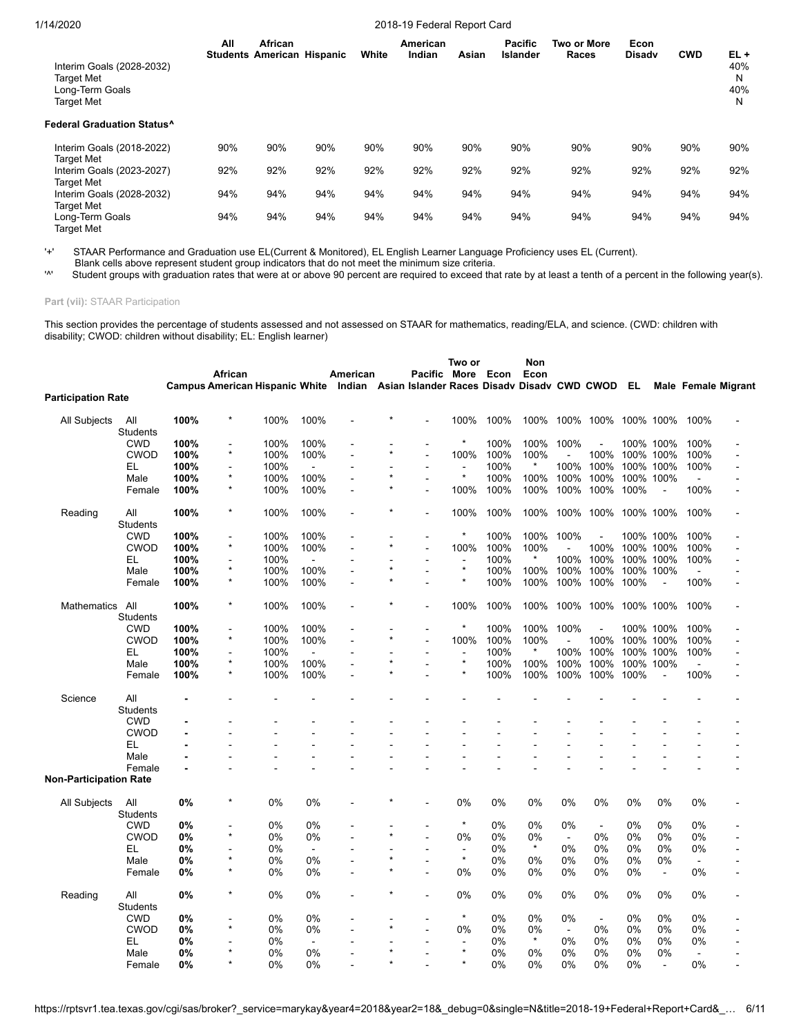**All Students American Hispanic White African American Indian Asian Pacific Islander Two or More Races Econ Disadv CWD EL +** Interim Goals (2028-2032) Target Met N Long-Term Goals 40% Target Met N **Federal Graduation Status^** Interim Goals (2018-2022) 90% 90% 90% 90% 90% 90% 90% 90% 90% 90% 90% Target Met Interim Goals (2023-2027) 92% 92% 92% 92% 92% 92% 92% 92% 92% 92% 92% Target Met Interim Goals (2028-2032) 94% 94% 94% 94% 94% 94% 94% 94% 94% 94% 94% Target Met Long-Term Goals 94% 94% 94% 94% 94% 94% 94% 94% 94% 94% 94%

'+' STAAR Performance and Graduation use EL(Current & Monitored), EL English Learner Language Proficiency uses EL (Current).

Blank cells above represent student group indicators that do not meet the minimum size criteria.<br>Student groups with graduation rates that were at or above 90 percent are required to exceed that

Student groups with graduation rates that were at or above 90 percent are required to exceed that rate by at least a tenth of a percent in the following year(s).

**Part (vii):** STAAR Participation

Target Met

This section provides the percentage of students assessed and not assessed on STAAR for mathematics, reading/ELA, and science. (CWD: children with disability; CWOD: children without disability; EL: English learner)

|                           |                        |      |                                       |       |          |                |         |                                                       | Two or         |      | Non     |                |                |           |                |                |                     |
|---------------------------|------------------------|------|---------------------------------------|-------|----------|----------------|---------|-------------------------------------------------------|----------------|------|---------|----------------|----------------|-----------|----------------|----------------|---------------------|
|                           |                        |      | African                               |       |          | American       |         | Pacific More                                          |                | Econ | Econ    |                |                |           |                |                |                     |
|                           |                        |      | <b>Campus American Hispanic White</b> |       |          |                |         | Indian Asian Islander Races Disady Disady CWD CWOD EL |                |      |         |                |                |           |                |                | Male Female Migrant |
| <b>Participation Rate</b> |                        |      |                                       |       |          |                |         |                                                       |                |      |         |                |                |           |                |                |                     |
| <b>All Subjects</b>       | All                    | 100% | *                                     | 100%  | 100%     |                |         |                                                       | 100%           | 100% | 100%    |                | 100% 100%      | 100% 100% |                | 100%           |                     |
|                           | <b>Students</b>        |      |                                       |       |          |                |         |                                                       |                |      |         |                |                |           |                |                |                     |
|                           | <b>CWD</b>             | 100% | Ē,                                    | 100%  | 100%     |                |         |                                                       | $\star$        | 100% | 100%    | 100%           |                |           | 100% 100%      | 100%           |                     |
|                           | <b>CWOD</b>            | 100% | $\star$                               | 100%  | 100%     |                |         | $\overline{a}$                                        | 100%           | 100% | 100%    |                | 100%           |           | 100% 100%      | 100%           |                     |
|                           | EL                     | 100% |                                       | 100%  |          |                |         |                                                       | $\blacksquare$ | 100% |         | 100%           | 100%           |           | 100% 100%      | 100%           |                     |
|                           | Male                   | 100% | $\star$                               | 100%  | 100%     |                |         |                                                       | $\star$        | 100% | 100%    | 100%           | 100%           |           | 100% 100%      |                |                     |
|                           | Female                 | 100% | $\star$                               | 100%  | 100%     |                |         | ÷.                                                    | 100%           | 100% | 100%    | 100%           | 100%           | 100%      |                | 100%           |                     |
| Reading                   | All<br><b>Students</b> | 100% | $\star$                               | 100%  | 100%     | $\blacksquare$ |         | ÷                                                     | 100%           | 100% | 100%    | 100%           | 100%           |           | 100% 100%      | 100%           |                     |
|                           | <b>CWD</b>             | 100% |                                       | 100%  | 100%     |                |         |                                                       | $\star$        | 100% | 100%    | 100%           |                |           | 100% 100%      | 100%           |                     |
|                           | <b>CWOD</b>            | 100% | $\star$                               | 100%  | 100%     |                |         | ÷                                                     | 100%           | 100% | 100%    |                | 100%           |           | 100% 100%      | 100%           |                     |
|                           | EL                     | 100% |                                       | 100%  |          |                |         |                                                       | $\blacksquare$ | 100% | $\star$ | 100%           | 100%           |           | 100% 100%      | 100%           |                     |
|                           | Male                   | 100% | $\star$                               | 100%  | 100%     |                |         | $\overline{a}$                                        | $\star$        | 100% | 100%    | 100%           | 100%           |           | 100% 100%      | $\sim$         |                     |
|                           | Female                 | 100% | $\star$                               | 100%  | 100%     |                | $\star$ | ÷.                                                    | $\star$        | 100% | 100%    | 100%           | 100%           | 100%      |                | 100%           |                     |
|                           |                        |      |                                       |       |          |                |         |                                                       |                |      |         |                |                |           |                |                |                     |
| <b>Mathematics</b>        | All<br><b>Students</b> | 100% | ×                                     | 100%  | 100%     | $\overline{a}$ |         | ä,                                                    | 100%           | 100% | 100%    | 100%           | 100%           |           | 100% 100%      | 100%           |                     |
|                           | <b>CWD</b>             | 100% |                                       | 100%  | 100%     |                |         |                                                       | $\star$        | 100% | 100%    | 100%           |                |           | 100% 100%      | 100%           |                     |
|                           | <b>CWOD</b>            | 100% | $\star$                               | 100%  | 100%     |                |         |                                                       | 100%           | 100% | 100%    |                | 100%           |           | 100% 100%      | 100%           |                     |
|                           | EL                     | 100% |                                       | 100%  | ÷        |                |         |                                                       | $\blacksquare$ | 100% | *       | 100%           | 100%           |           | 100% 100%      | 100%           |                     |
|                           | Male                   | 100% | $\star$                               | 100%  | 100%     | $\blacksquare$ | $\star$ | $\overline{a}$                                        | $\star$        | 100% | 100%    | 100%           | 100%           | 100% 100% |                |                |                     |
|                           | Female                 | 100% | $\star$                               | 100%  | 100%     |                |         |                                                       | $\star$        | 100% | 100%    | 100%           | 100%           | 100%      |                | 100%           |                     |
| Science                   | All                    |      |                                       |       |          |                |         |                                                       |                |      |         |                |                |           |                |                |                     |
|                           | <b>Students</b>        |      |                                       |       |          |                |         |                                                       |                |      |         |                |                |           |                |                |                     |
|                           | <b>CWD</b>             |      |                                       |       |          |                |         |                                                       |                |      |         |                |                |           |                |                |                     |
|                           | <b>CWOD</b>            |      |                                       |       |          |                |         |                                                       |                |      |         |                |                |           |                |                |                     |
|                           | EL                     |      |                                       |       |          |                |         |                                                       |                |      |         |                |                |           |                |                |                     |
|                           | Male                   |      |                                       |       |          |                |         |                                                       |                |      |         |                |                |           |                |                |                     |
|                           |                        |      |                                       |       |          |                |         |                                                       |                |      |         |                |                |           |                |                |                     |
| Non-Participation Rate    | Female                 |      |                                       |       |          |                |         |                                                       |                |      |         |                |                |           |                |                |                     |
|                           |                        |      |                                       |       |          |                |         |                                                       |                |      |         |                |                |           |                |                |                     |
| All Subjects              | All<br><b>Students</b> | 0%   | $\star$                               | 0%    | 0%       |                |         |                                                       | 0%             | 0%   | 0%      | 0%             | 0%             | 0%        | 0%             | 0%             |                     |
|                           | <b>CWD</b>             | 0%   |                                       | 0%    | 0%       |                |         |                                                       | $\star$        | 0%   | 0%      | 0%             | $\blacksquare$ | 0%        | 0%             | 0%             |                     |
|                           | <b>CWOD</b>            | 0%   | $\star$                               | 0%    | 0%       |                |         |                                                       | 0%             | 0%   | 0%      | $\mathbf{r}$   | 0%             | 0%        | 0%             | 0%             |                     |
|                           | EL                     | 0%   |                                       | 0%    | $\omega$ |                |         |                                                       | $\blacksquare$ | 0%   | $\star$ | 0%             | 0%             | 0%        | 0%             | 0%             |                     |
|                           | Male                   | 0%   | $\star$                               | $0\%$ | 0%       |                | $\star$ | $\overline{\phantom{a}}$                              | $\star$        | 0%   | 0%      | 0%             | 0%             | 0%        | 0%             | $\sim$         |                     |
|                           | Female                 | 0%   | $\star$                               | 0%    | 0%       |                |         |                                                       | 0%             | 0%   | 0%      | 0%             | 0%             | 0%        | $\blacksquare$ | $0\%$          |                     |
|                           |                        |      |                                       |       |          |                |         |                                                       |                |      |         |                |                |           |                |                |                     |
| Reading                   | All<br><b>Students</b> | 0%   | $\star$                               | 0%    | 0%       |                |         |                                                       | 0%             | 0%   | 0%      | 0%             | 0%             | 0%        | 0%             | 0%             |                     |
|                           | <b>CWD</b>             | 0%   | L,                                    | 0%    | 0%       |                |         |                                                       | $\star$        | 0%   | 0%      | 0%             | $\blacksquare$ | 0%        | 0%             | 0%             |                     |
|                           | <b>CWOD</b>            | 0%   | $\star$                               | $0\%$ | 0%       |                |         |                                                       | 0%             | 0%   | 0%      | $\blacksquare$ | 0%             | 0%        | 0%             | 0%             |                     |
|                           | EL                     | 0%   |                                       | 0%    | $\sim$   |                |         |                                                       |                | 0%   | $\star$ | 0%             | 0%             | 0%        | 0%             | 0%             |                     |
|                           | Male                   | 0%   | $\star$                               | 0%    | 0%       |                |         |                                                       | $\star$        | 0%   | 0%      | 0%             | 0%             | 0%        | 0%             | $\blacksquare$ |                     |
|                           | Female                 | 0%   | $\star$                               | 0%    | 0%       |                | $\star$ |                                                       | $\star$        | 0%   | 0%      | 0%             | 0%             | 0%        | $\overline{a}$ | 0%             |                     |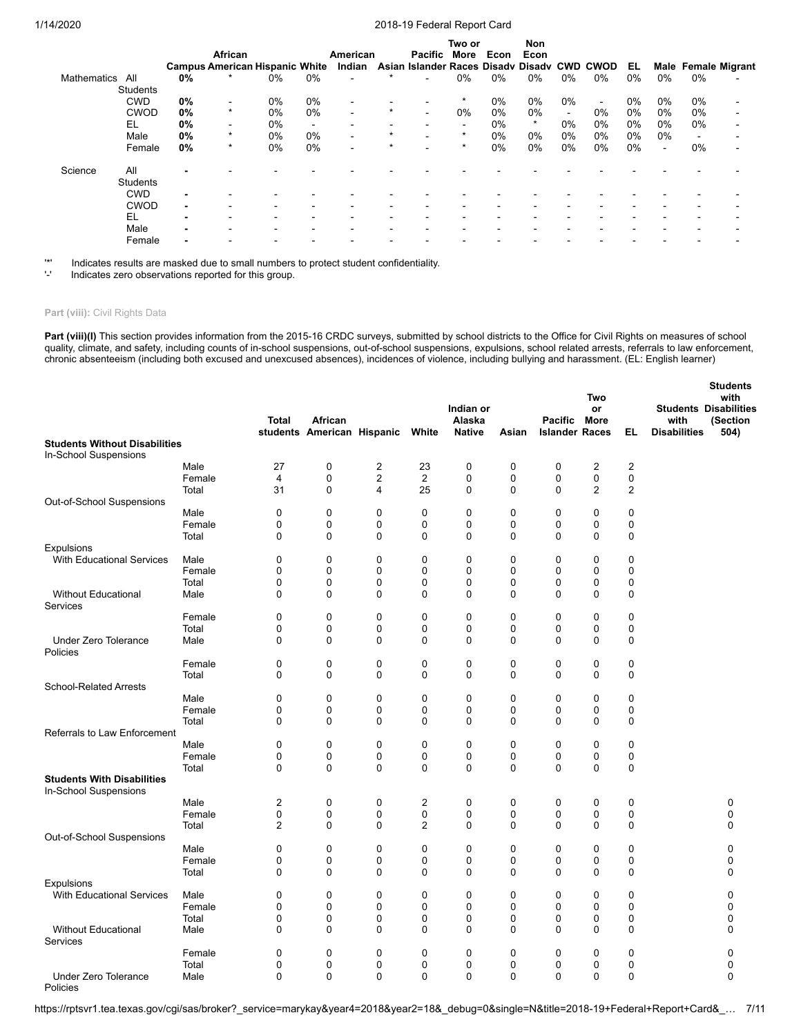|                 |                 |    |                                       |    |                |                          |         |                                             | Two or                   |       | Non     |        |        |       |                          |                |                            |
|-----------------|-----------------|----|---------------------------------------|----|----------------|--------------------------|---------|---------------------------------------------|--------------------------|-------|---------|--------|--------|-------|--------------------------|----------------|----------------------------|
|                 |                 |    | African                               |    |                | American                 |         | Pacific More                                |                          | Econ  | Econ    |        |        |       |                          |                |                            |
|                 |                 |    | <b>Campus American Hispanic White</b> |    |                | Indian                   |         | Asian Islander Races Disady Disady CWD CWOD |                          |       |         |        |        | EL    |                          |                | <b>Male Female Migrant</b> |
| Mathematics All |                 | 0% |                                       | 0% | $0\%$          | $\overline{a}$           |         |                                             | 0%                       | $0\%$ | 0%      | 0%     | 0%     | $0\%$ | $0\%$                    | $0\%$          |                            |
|                 | Students        |    |                                       |    |                |                          |         |                                             |                          |       |         |        |        |       |                          |                |                            |
|                 | <b>CWD</b>      | 0% | $\blacksquare$                        | 0% | 0%             |                          |         |                                             | $\star$                  | $0\%$ | 0%      | 0%     | $\sim$ | $0\%$ | 0%                       | $0\%$          |                            |
|                 | <b>CWOD</b>     | 0% | $\star$                               | 0% | $0\%$          | $\overline{\phantom{0}}$ | $\star$ |                                             | 0%                       | $0\%$ | 0%      | $\sim$ | 0%     | $0\%$ | 0%                       | $0\%$          |                            |
|                 | EL              | 0% | $\blacksquare$                        | 0% | $\blacksquare$ |                          |         |                                             | $\overline{\phantom{a}}$ | $0\%$ | $\star$ | 0%     | 0%     | 0%    | $0\%$                    | $0\%$          |                            |
|                 | Male            | 0% | $\star$                               | 0% | $0\%$          | $\overline{\phantom{0}}$ | $\star$ | $\overline{\phantom{0}}$                    | $\star$                  | $0\%$ | 0%      | 0%     | 0%     | $0\%$ | $0\%$                    | $\blacksquare$ |                            |
|                 | Female          | 0% | $\star$                               | 0% | $0\%$          | -                        | $\star$ |                                             | $\star$                  | $0\%$ | 0%      | 0%     | 0%     | $0\%$ | $\overline{\phantom{a}}$ | 0%             |                            |
| Science         | All             |    |                                       |    |                |                          |         |                                             |                          |       |         |        |        |       |                          |                |                            |
|                 | <b>Students</b> |    |                                       |    |                |                          |         |                                             |                          |       |         |        |        |       |                          |                |                            |
|                 | <b>CWD</b>      |    |                                       |    |                |                          |         |                                             |                          |       |         |        |        |       |                          |                |                            |
|                 | <b>CWOD</b>     | -  |                                       |    |                |                          |         |                                             |                          |       |         |        |        |       |                          |                |                            |
|                 | EL              |    |                                       |    |                |                          |         |                                             |                          |       |         |        |        |       |                          |                |                            |
|                 | Male            |    |                                       |    |                |                          |         |                                             |                          |       |         |        |        |       |                          |                |                            |
|                 | Female          |    |                                       |    |                |                          |         |                                             |                          |       |         |        |        |       |                          |                |                            |
|                 |                 |    |                                       |    |                |                          |         |                                             |                          |       |         |        |        |       |                          |                |                            |

'\*' Indicates results are masked due to small numbers to protect student confidentiality.

Indicates zero observations reported for this group.

#### Part (viii): Civil Rights Data

Part (viii)(I) This section provides information from the 2015-16 CRDC surveys, submitted by school districts to the Office for Civil Rights on measures of school quality, climate, and safety, including counts of in-school suspensions, out-of-school suspensions, expulsions, school related arrests, referrals to law enforcement, chronic absenteeism (including both excused and unexcused absences), incidences of violence, including bullying and harassment. (EL: English learner)

|                                         |                 | <b>Total</b>   | African<br>students American Hispanic |                         | White          | Indian or<br>Alaska<br><b>Native</b> | Asian            | Pacific<br><b>Islander Races</b> | Two<br>or<br>More | EL             | with<br><b>Disabilities</b> | <b>Students</b><br>with<br><b>Students Disabilities</b><br>(Section<br>504) |
|-----------------------------------------|-----------------|----------------|---------------------------------------|-------------------------|----------------|--------------------------------------|------------------|----------------------------------|-------------------|----------------|-----------------------------|-----------------------------------------------------------------------------|
| <b>Students Without Disabilities</b>    |                 |                |                                       |                         |                |                                      |                  |                                  |                   |                |                             |                                                                             |
| In-School Suspensions                   |                 |                |                                       |                         |                |                                      |                  |                                  |                   |                |                             |                                                                             |
|                                         | Male            | 27             | $\mathbf 0$                           | $\overline{c}$          | 23             | $\pmb{0}$                            | 0                | $\mathbf 0$                      | $\overline{c}$    | $\overline{2}$ |                             |                                                                             |
|                                         | Female          | $\overline{4}$ | $\mathbf 0$                           | $\overline{\mathbf{c}}$ | $\overline{2}$ | $\pmb{0}$                            | $\mathbf 0$      | $\mathbf 0$                      | $\mathbf 0$       | $\mathbf 0$    |                             |                                                                             |
|                                         | Total           | 31             | $\mathbf 0$                           | 4                       | 25             | 0                                    | $\mathbf 0$      | 0                                | $\overline{2}$    | $\overline{2}$ |                             |                                                                             |
| Out-of-School Suspensions               |                 |                |                                       |                         |                |                                      |                  |                                  |                   |                |                             |                                                                             |
|                                         | Male            | $\mathbf 0$    | $\mathbf 0$                           | 0                       | 0              | 0                                    | 0                | 0                                | $\mathbf 0$       | 0              |                             |                                                                             |
|                                         | Female          | 0              | 0                                     | 0                       | 0              | 0                                    | $\mathbf 0$      | 0                                | 0                 | 0              |                             |                                                                             |
|                                         | Total           | $\mathbf 0$    | $\mathbf 0$                           | 0                       | 0              | $\mathbf 0$                          | $\mathbf 0$      | $\Omega$                         | $\mathbf 0$       | $\mathbf 0$    |                             |                                                                             |
| Expulsions                              |                 |                |                                       |                         |                |                                      |                  |                                  |                   |                |                             |                                                                             |
| <b>With Educational Services</b>        | Male            | 0              | 0                                     | 0                       | 0              | 0                                    | 0                | 0                                | 0                 | 0              |                             |                                                                             |
|                                         | Female          | $\Omega$       | 0                                     | 0                       | $\Omega$       | $\pmb{0}$                            | $\mathbf 0$      | $\Omega$                         | 0                 | 0              |                             |                                                                             |
|                                         | Total           | 0              | 0                                     | 0                       | 0              | 0                                    | 0                | 0                                | 0                 | 0              |                             |                                                                             |
| <b>Without Educational</b><br>Services  | Male            | $\mathbf 0$    | $\mathbf 0$                           | 0                       | 0              | $\pmb{0}$                            | $\mathbf 0$      | 0                                | $\mathbf 0$       | 0              |                             |                                                                             |
|                                         | Female          | $\mathbf 0$    | 0                                     | 0                       | 0              | 0                                    | $\mathbf 0$      | $\mathbf 0$                      | $\mathbf 0$       | 0              |                             |                                                                             |
|                                         | Total           | $\mathbf 0$    | 0                                     | 0                       | 0              | $\pmb{0}$                            | $\mathbf 0$      | 0                                | $\mathbf 0$       | $\mathbf 0$    |                             |                                                                             |
| <b>Under Zero Tolerance</b><br>Policies | Male            | $\mathbf 0$    | $\mathbf 0$                           | 0                       | 0              | $\mathbf 0$                          | 0                | $\Omega$                         | $\mathbf 0$       | $\mathbf 0$    |                             |                                                                             |
|                                         | Female          | $\mathbf 0$    | $\mathbf 0$                           | 0                       | 0              | $\mathbf 0$                          | $\mathbf 0$      | $\mathbf 0$                      | $\mathbf 0$       | $\mathbf 0$    |                             |                                                                             |
|                                         | Total           | 0              | 0                                     | 0                       | 0              | 0                                    | $\mathbf 0$      | 0                                | $\mathbf 0$       | 0              |                             |                                                                             |
| <b>School-Related Arrests</b>           |                 |                |                                       |                         |                |                                      |                  |                                  |                   |                |                             |                                                                             |
|                                         | Male            | $\mathbf 0$    | $\mathbf 0$                           | 0                       | 0              | $\mathbf 0$                          | $\mathbf 0$      | 0                                | $\mathbf 0$       | $\mathbf 0$    |                             |                                                                             |
|                                         | Female          | $\mathbf 0$    | $\mathbf 0$                           | 0                       | 0              | $\mathbf 0$                          | $\mathbf 0$      | 0                                | $\mathbf 0$       | $\mathbf 0$    |                             |                                                                             |
|                                         | Total           | 0              | $\mathbf 0$                           | 0                       | 0              | 0                                    | $\mathbf 0$      | 0                                | $\mathbf 0$       | 0              |                             |                                                                             |
| Referrals to Law Enforcement            |                 |                |                                       |                         |                |                                      |                  |                                  |                   |                |                             |                                                                             |
|                                         | Male            | $\mathbf 0$    | 0                                     | 0                       | 0              | $\mathbf 0$                          | $\mathbf 0$      | 0                                | $\mathbf 0$       | $\pmb{0}$      |                             |                                                                             |
|                                         | Female          | $\mathbf 0$    | $\mathbf 0$                           | 0                       | 0              | $\pmb{0}$                            | $\mathbf 0$      | $\mathbf 0$                      | $\mathbf 0$       | $\mathbf 0$    |                             |                                                                             |
|                                         | Total           | $\mathbf 0$    | $\mathbf 0$                           | 0                       | 0              | $\mathbf 0$                          | $\mathbf 0$      | 0                                | $\mathbf 0$       | $\mathbf 0$    |                             |                                                                             |
| <b>Students With Disabilities</b>       |                 |                |                                       |                         |                |                                      |                  |                                  |                   |                |                             |                                                                             |
| In-School Suspensions                   |                 |                |                                       |                         |                |                                      |                  |                                  |                   |                |                             |                                                                             |
|                                         | Male            | 2<br>$\pmb{0}$ | 0<br>$\mathbf 0$                      | 0<br>0                  | 2<br>0         | 0                                    | 0<br>$\mathbf 0$ | 0<br>$\mathbf 0$                 | 0<br>$\mathbf 0$  | 0              |                             | 0<br>$\mathbf 0$                                                            |
|                                         | Female<br>Total | $\overline{2}$ | $\mathbf 0$                           | 0                       | 2              | $\pmb{0}$<br>0                       | $\mathbf 0$      | 0                                | $\mathbf 0$       | 0<br>0         |                             | $\mathbf 0$                                                                 |
| Out-of-School Suspensions               |                 |                |                                       |                         |                |                                      |                  |                                  |                   |                |                             |                                                                             |
|                                         | Male            | $\mathbf 0$    | $\mathbf 0$                           | 0                       | 0              | $\mathbf 0$                          | $\mathbf 0$      | 0                                | $\mathbf 0$       | $\mathbf 0$    |                             | $\Omega$                                                                    |
|                                         | Female          | 0              | 0                                     | 0                       | 0              | 0                                    | 0                | 0                                | 0                 | 0              |                             | 0                                                                           |
|                                         | Total           | $\mathbf 0$    | $\mathbf 0$                           | 0                       | 0              | $\pmb{0}$                            | $\mathbf 0$      | $\mathbf 0$                      | $\mathbf 0$       | 0              |                             | $\mathbf 0$                                                                 |
| <b>Expulsions</b>                       |                 |                |                                       |                         |                |                                      |                  |                                  |                   |                |                             |                                                                             |
| <b>With Educational Services</b>        | Male            | $\mathbf 0$    | $\mathbf 0$                           | 0                       | $\mathbf 0$    | $\mathbf 0$                          | $\mathbf 0$      | $\mathbf 0$                      | 0                 | $\mathbf 0$    |                             | $\mathbf 0$                                                                 |
|                                         | Female          | $\mathbf 0$    | $\mathbf 0$                           | 0                       | 0              | $\mathbf 0$                          | $\mathbf 0$      | $\mathbf{0}$                     | $\mathbf 0$       | $\mathbf 0$    |                             | $\Omega$                                                                    |
|                                         | Total           | 0              | 0                                     | 0                       | 0              | 0                                    | $\mathbf 0$      | 0                                | 0                 | 0              |                             | 0                                                                           |
| Without Educational                     | Male            | $\Omega$       | 0                                     | 0                       | $\mathbf{0}$   | 0                                    | $\mathbf 0$      | $\Omega$                         | $\Omega$          | 0              |                             | $\Omega$                                                                    |
| Services                                |                 |                |                                       |                         |                |                                      |                  |                                  |                   |                |                             |                                                                             |
|                                         | Female          | $\mathbf 0$    | $\mathbf 0$                           | 0                       | 0              | 0                                    | $\mathbf 0$      | 0                                | 0                 | 0              |                             | 0                                                                           |
|                                         | Total           | $\mathbf 0$    | $\mathbf 0$                           | 0                       | 0              | $\mathbf 0$                          | $\mathbf 0$      | 0                                | 0                 | $\mathbf 0$    |                             | $\mathbf 0$                                                                 |
| Under Zero Tolerance<br>Policies        | Male            | $\mathbf 0$    | 0                                     | $\Omega$                | 0              | $\mathbf 0$                          | $\mathbf 0$      | 0                                | $\mathbf 0$       | $\mathbf 0$    |                             | 0                                                                           |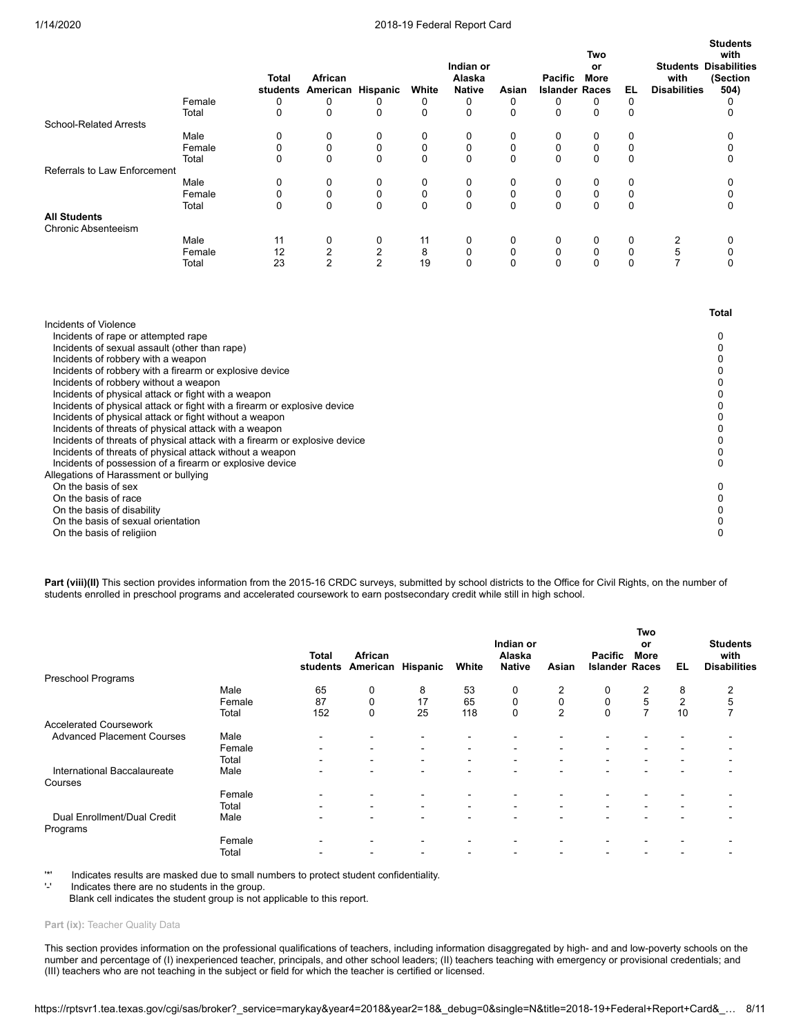**Students**

|                                                                            | Female | <b>Total</b><br>0 | African<br>students American Hispanic<br>0 |                | White<br>0  | Indian or<br>Alaska<br><b>Native</b> | Asian<br>0  | <b>Pacific</b><br><b>Islander Races</b><br>0 | Two<br>or<br><b>More</b><br>0 | EL.<br>$\Omega$ | with<br><b>Disabilities</b> | <b>Students</b><br>with<br><b>Students Disabilities</b><br>(Section<br>504)<br>0 |
|----------------------------------------------------------------------------|--------|-------------------|--------------------------------------------|----------------|-------------|--------------------------------------|-------------|----------------------------------------------|-------------------------------|-----------------|-----------------------------|----------------------------------------------------------------------------------|
|                                                                            | Total  | $\mathbf 0$       | $\mathbf 0$                                | 0<br>0         | $\mathbf 0$ | 0<br>$\mathbf 0$                     | $\mathbf 0$ | 0                                            | 0                             | 0               |                             | 0                                                                                |
| <b>School-Related Arrests</b>                                              |        |                   |                                            |                |             |                                      |             |                                              |                               |                 |                             |                                                                                  |
|                                                                            | Male   | 0                 | 0                                          | 0              | 0           | 0                                    | 0           | 0                                            | 0                             | 0               |                             | 0                                                                                |
|                                                                            | Female | 0                 | 0                                          | 0              | 0           | 0                                    | $\mathbf 0$ | 0                                            | 0                             | 0               |                             | 0                                                                                |
|                                                                            | Total  | $\Omega$          | 0                                          | $\Omega$       | 0           | $\mathbf 0$                          | $\Omega$    | $\Omega$                                     | $\Omega$                      | 0               |                             | 0                                                                                |
| Referrals to Law Enforcement                                               |        |                   |                                            |                |             |                                      |             |                                              |                               |                 |                             |                                                                                  |
|                                                                            | Male   | 0                 | 0                                          | 0              | 0           | 0                                    | 0           | 0                                            | 0                             | 0               |                             | 0                                                                                |
|                                                                            | Female | 0                 | 0                                          | 0              | $\mathbf 0$ | 0                                    | 0           | 0                                            | 0                             | 0               |                             | 0                                                                                |
|                                                                            | Total  | $\mathbf 0$       | $\mathbf 0$                                | 0              | $\mathbf 0$ | $\mathbf 0$                          | $\mathbf 0$ | 0                                            | 0                             | 0               |                             | 0                                                                                |
| <b>All Students</b>                                                        |        |                   |                                            |                |             |                                      |             |                                              |                               |                 |                             |                                                                                  |
| Chronic Absenteeism                                                        |        |                   |                                            |                |             |                                      |             |                                              |                               |                 |                             |                                                                                  |
|                                                                            | Male   | 11                | 0                                          | 0              | 11          | 0                                    | 0           | 0                                            | 0                             | 0               | 2                           | 0                                                                                |
|                                                                            | Female | 12                | $\overline{2}$                             | $\overline{2}$ | 8           | 0                                    | 0           | 0                                            | $\pmb{0}$                     | $\mathbf 0$     | 5                           | 0                                                                                |
|                                                                            | Total  | 23                | $\overline{2}$                             | $\overline{2}$ | 19          | $\mathbf 0$                          | $\Omega$    | $\Omega$                                     | $\Omega$                      | $\mathbf{0}$    | $\overline{7}$              | $\Omega$                                                                         |
| Incidents of Violence                                                      |        |                   |                                            |                |             |                                      |             |                                              |                               |                 |                             | <b>Total</b>                                                                     |
| Incidents of rape or attempted rape                                        |        |                   |                                            |                |             |                                      |             |                                              |                               |                 |                             | 0                                                                                |
| Incidents of sexual assault (other than rape)                              |        |                   |                                            |                |             |                                      |             |                                              |                               |                 |                             | $\Omega$                                                                         |
| Incidents of robbery with a weapon                                         |        |                   |                                            |                |             |                                      |             |                                              |                               |                 |                             | 0                                                                                |
| Incidents of robbery with a firearm or explosive device                    |        |                   |                                            |                |             |                                      |             |                                              |                               |                 |                             | 0                                                                                |
| Incidents of robbery without a weapon                                      |        |                   |                                            |                |             |                                      |             |                                              |                               |                 |                             | 0                                                                                |
| Incidents of physical attack or fight with a weapon                        |        |                   |                                            |                |             |                                      |             |                                              |                               |                 |                             | <sup>0</sup>                                                                     |
| Incidents of physical attack or fight with a firearm or explosive device   |        |                   |                                            |                |             |                                      |             |                                              |                               |                 |                             | O                                                                                |
| Incidents of physical attack or fight without a weapon                     |        |                   |                                            |                |             |                                      |             |                                              |                               |                 |                             | U                                                                                |
| Incidents of threats of physical attack with a weapon                      |        |                   |                                            |                |             |                                      |             |                                              |                               |                 |                             | <sup>0</sup>                                                                     |
| Incidents of threats of physical attack with a firearm or explosive device |        |                   |                                            |                |             |                                      |             |                                              |                               |                 |                             | 0                                                                                |
| Incidents of threats of physical attack without a weapon                   |        |                   |                                            |                |             |                                      |             |                                              |                               |                 |                             | 0                                                                                |
| Incidents of possession of a firearm or explosive device                   |        |                   |                                            |                |             |                                      |             |                                              |                               |                 |                             | 0                                                                                |
| Allegations of Harassment or bullying                                      |        |                   |                                            |                |             |                                      |             |                                              |                               |                 |                             |                                                                                  |
| On the basis of sex                                                        |        |                   |                                            |                |             |                                      |             |                                              |                               |                 |                             | <sup>0</sup>                                                                     |
| On the basis of race                                                       |        |                   |                                            |                |             |                                      |             |                                              |                               |                 |                             |                                                                                  |
| On the basis of disability                                                 |        |                   |                                            |                |             |                                      |             |                                              |                               |                 |                             | $\Omega$                                                                         |

On the basis of sexual orientation  $0$ <br>On the basis of religiion  $0$ 

On the basis of religiion

Part (viii)(II) This section provides information from the 2015-16 CRDC surveys, submitted by school districts to the Office for Civil Rights, on the number of students enrolled in preschool programs and accelerated coursework to earn postsecondary credit while still in high school.

|                                         |        | <b>Total</b><br>students | African<br>American      | Hispanic                 | White                    | Indian or<br>Alaska<br><b>Native</b> | Asian                    | <b>Pacific</b><br><b>Islander Races</b> | Two<br>or<br><b>More</b> | EL                       | <b>Students</b><br>with<br><b>Disabilities</b> |
|-----------------------------------------|--------|--------------------------|--------------------------|--------------------------|--------------------------|--------------------------------------|--------------------------|-----------------------------------------|--------------------------|--------------------------|------------------------------------------------|
| Preschool Programs                      |        |                          |                          |                          |                          |                                      |                          |                                         |                          |                          |                                                |
|                                         | Male   | 65                       | 0                        | 8                        | 53                       | 0                                    | 2                        |                                         | 2                        | 8                        | 2                                              |
|                                         | Female | 87                       | $\mathbf 0$              | 17                       | 65                       | $\mathbf 0$                          | 0                        | $\mathbf 0$                             | 5                        | $\overline{2}$           | 5                                              |
|                                         | Total  | 152                      | 0                        | 25                       | 118                      | 0                                    | 2                        | $\Omega$                                | $\overline{ }$           | 10                       | 7                                              |
| <b>Accelerated Coursework</b>           |        |                          |                          |                          |                          |                                      |                          |                                         |                          |                          |                                                |
| <b>Advanced Placement Courses</b>       | Male   | $\overline{\phantom{0}}$ | $\overline{\phantom{a}}$ | -                        | $\overline{\phantom{a}}$ |                                      |                          |                                         |                          |                          |                                                |
|                                         | Female | -                        | $\blacksquare$           | $\blacksquare$           | ۰                        | $\overline{\phantom{a}}$             | $\overline{\phantom{a}}$ | ۰                                       | $\overline{\phantom{a}}$ |                          |                                                |
|                                         | Total  | -                        | ٠                        | $\overline{\phantom{a}}$ | ۰                        | $\blacksquare$                       | $\,$                     | ۰                                       | $\blacksquare$           | $\blacksquare$           | $\overline{\phantom{0}}$                       |
| International Baccalaureate<br>Courses  | Male   |                          | $\overline{\phantom{0}}$ | -                        | $\overline{\phantom{a}}$ |                                      | $\overline{\phantom{0}}$ | -                                       |                          | ٠                        |                                                |
|                                         | Female |                          |                          |                          | -                        |                                      |                          |                                         |                          |                          |                                                |
|                                         | Total  | $\overline{\phantom{0}}$ | $\blacksquare$           | $\blacksquare$           | $\blacksquare$           | $\overline{\phantom{a}}$             | $\overline{\phantom{a}}$ | ۰.                                      | $\overline{\phantom{0}}$ | $\overline{\phantom{0}}$ |                                                |
| Dual Enrollment/Dual Credit<br>Programs | Male   |                          | $\sim$                   | $\overline{\phantom{0}}$ | $\overline{\phantom{0}}$ |                                      | $\overline{\phantom{0}}$ |                                         |                          |                          |                                                |
|                                         | Female | $\overline{\phantom{0}}$ | $\overline{\phantom{0}}$ |                          | $\overline{\phantom{0}}$ | $\overline{\phantom{0}}$             |                          |                                         |                          |                          |                                                |
|                                         | Total  |                          |                          |                          | $\overline{\phantom{0}}$ |                                      |                          |                                         |                          |                          |                                                |

'\*' Indicates results are masked due to small numbers to protect student confidentiality.

Indicates there are no students in the group.

Blank cell indicates the student group is not applicable to this report.

#### Part (ix): Teacher Quality Data

This section provides information on the professional qualifications of teachers, including information disaggregated by high- and and low-poverty schools on the number and percentage of (I) inexperienced teacher, principals, and other school leaders; (II) teachers teaching with emergency or provisional credentials; and (III) teachers who are not teaching in the subject or field for which the teacher is certified or licensed.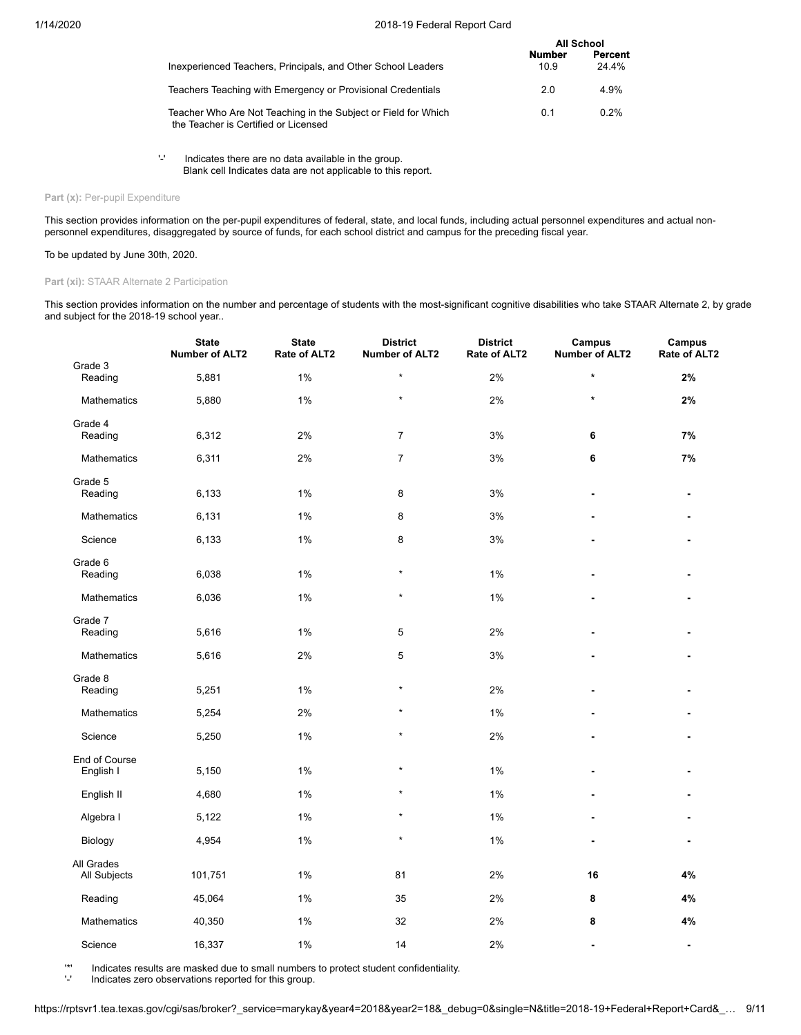|                                                                                                        | <b>All School</b>     |                  |
|--------------------------------------------------------------------------------------------------------|-----------------------|------------------|
| Inexperienced Teachers, Principals, and Other School Leaders                                           | <b>Number</b><br>10.9 | Percent<br>24 4% |
| Teachers Teaching with Emergency or Provisional Credentials                                            | 2.0                   | 4.9%             |
| Teacher Who Are Not Teaching in the Subject or Field for Which<br>the Teacher is Certified or Licensed | 0.1                   | 0.2%             |

'-' Indicates there are no data available in the group. Blank cell Indicates data are not applicable to this report.

## Part (x): Per-pupil Expenditure

This section provides information on the per-pupil expenditures of federal, state, and local funds, including actual personnel expenditures and actual nonpersonnel expenditures, disaggregated by source of funds, for each school district and campus for the preceding fiscal year.

### To be updated by June 30th, 2020.

#### **Part (xi):** STAAR Alternate 2 Participation

This section provides information on the number and percentage of students with the most-significant cognitive disabilities who take STAAR Alternate 2, by grade and subject for the 2018-19 school year..

|                            | <b>State</b><br><b>Number of ALT2</b> | <b>State</b><br>Rate of ALT2 | <b>District</b><br>Number of ALT2 | <b>District</b><br>Rate of ALT2 | Campus<br><b>Number of ALT2</b> | Campus<br>Rate of ALT2   |
|----------------------------|---------------------------------------|------------------------------|-----------------------------------|---------------------------------|---------------------------------|--------------------------|
| Grade 3<br>Reading         | 5,881                                 | 1%                           | $\star$                           | 2%                              | $\star$                         | 2%                       |
| <b>Mathematics</b>         | 5,880                                 | 1%                           | $\star$                           | 2%                              | $\star$                         | 2%                       |
| Grade 4<br>Reading         | 6,312                                 | $2\%$                        | $\overline{7}$                    | 3%                              | 6                               | 7%                       |
| Mathematics                | 6,311                                 | 2%                           | $\overline{7}$                    | 3%                              | 6                               | 7%                       |
| Grade 5<br>Reading         | 6,133                                 | 1%                           | 8                                 | 3%                              | $\overline{a}$                  | $\blacksquare$           |
| Mathematics                | 6,131                                 | 1%                           | 8                                 | 3%                              |                                 |                          |
| Science                    | 6,133                                 | 1%                           | 8                                 | $3%$                            |                                 |                          |
| Grade 6<br>Reading         | 6,038                                 | 1%                           | $\star$                           | 1%                              |                                 |                          |
| <b>Mathematics</b>         | 6,036                                 | 1%                           | $\star$                           | 1%                              |                                 |                          |
| Grade 7<br>Reading         | 5,616                                 | 1%                           | 5                                 | 2%                              |                                 |                          |
| Mathematics                | 5,616                                 | 2%                           | 5                                 | 3%                              |                                 |                          |
| Grade 8<br>Reading         | 5,251                                 | 1%                           | $\star$                           | 2%                              |                                 |                          |
| Mathematics                | 5,254                                 | 2%                           | $\star$                           | 1%                              |                                 |                          |
| Science                    | 5,250                                 | 1%                           | $\star$                           | 2%                              |                                 |                          |
| End of Course<br>English I | 5,150                                 | 1%                           | $\star$                           | 1%                              |                                 |                          |
| English II                 | 4,680                                 | 1%                           | $\star$                           | 1%                              |                                 |                          |
| Algebra I                  | 5,122                                 | 1%                           | $\star$                           | 1%                              | $\blacksquare$                  |                          |
| Biology                    | 4,954                                 | 1%                           | $\star$                           | 1%                              |                                 | $\blacksquare$           |
| All Grades<br>All Subjects | 101,751                               | 1%                           | 81                                | 2%                              | 16                              | 4%                       |
| Reading                    | 45,064                                | 1%                           | 35                                | 2%                              | 8                               | 4%                       |
| Mathematics                | 40,350                                | 1%                           | 32                                | 2%                              | 8                               | 4%                       |
| Science                    | 16,337                                | 1%                           | 14                                | 2%                              | $\blacksquare$                  | $\overline{\phantom{a}}$ |

'\*' Indicates results are masked due to small numbers to protect student confidentiality.

Indicates zero observations reported for this group.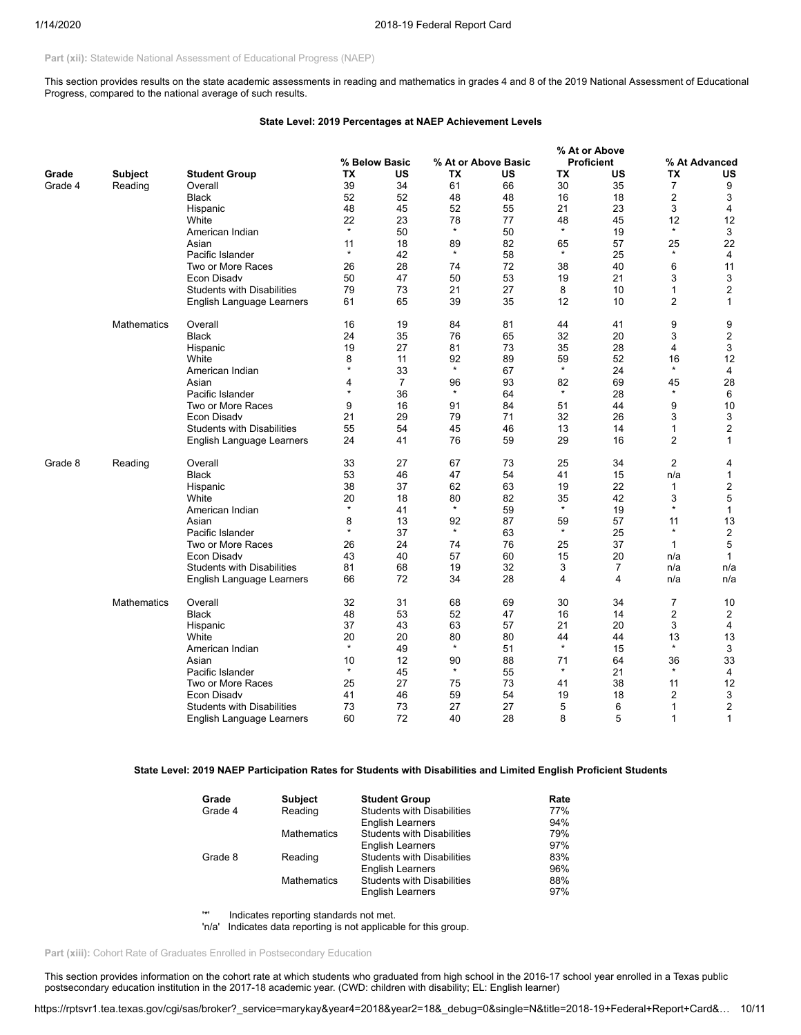Part (xii): Statewide National Assessment of Educational Progress (NAEP)

This section provides results on the state academic assessments in reading and mathematics in grades 4 and 8 of the 2019 National Assessment of Educational Progress, compared to the national average of such results.

## **State Level: 2019 Percentages at NAEP Achievement Levels**

|         |                    |                                   |               |                |         |                     |           | % At or Above     |                |                  |
|---------|--------------------|-----------------------------------|---------------|----------------|---------|---------------------|-----------|-------------------|----------------|------------------|
|         |                    |                                   |               | % Below Basic  |         | % At or Above Basic |           | <b>Proficient</b> |                | % At Advanced    |
| Grade   | <b>Subject</b>     | <b>Student Group</b>              | TX            | US             | ТX      | US                  | <b>TX</b> | US                | TX             | US               |
| Grade 4 | Reading            | Overall                           | 39            | 34             | 61      | 66                  | 30        | 35                | $\overline{7}$ | 9                |
|         |                    | <b>Black</b>                      | 52            | 52             | 48      | 48                  | 16        | 18                | 2              | 3                |
|         |                    | Hispanic                          | 48            | 45             | 52      | 55                  | 21        | 23                | 3              | 4                |
|         |                    | White                             | 22            | 23             | 78      | 77                  | 48        | 45                | 12             | 12               |
|         |                    | American Indian                   | $\star$       | 50             | $\star$ | 50                  | $\star$   | 19                | $\star$        | 3                |
|         |                    | Asian                             | 11            | 18             | 89      | 82                  | 65        | 57                | 25             | 22               |
|         |                    | Pacific Islander                  | $\star$       | 42             | $\star$ | 58                  | $\star$   | 25                | $\star$        | 4                |
|         |                    | Two or More Races                 | 26            | 28             | 74      | 72                  | 38        | 40                | 6              | 11               |
|         |                    | Econ Disady                       | 50            | 47             | 50      | 53                  | 19        | 21                | 3              | 3                |
|         |                    | <b>Students with Disabilities</b> | 79            | 73             | 21      | 27                  | 8         | 10                | 1              | $\overline{2}$   |
|         |                    | English Language Learners         | 61            | 65             | 39      | 35                  | 12        | 10                | 2              | 1                |
|         |                    |                                   |               |                |         |                     |           |                   |                |                  |
|         | <b>Mathematics</b> | Overall                           | 16            | 19             | 84      | 81                  | 44        | 41                | 9              | 9                |
|         |                    | <b>Black</b>                      | 24            | 35             | 76      | 65                  | 32        | 20                | 3              | $\boldsymbol{2}$ |
|         |                    | Hispanic                          | 19            | 27             | 81      | 73                  | 35        | 28                | 4              | 3                |
|         |                    | White                             | 8             | 11             | 92      | 89                  | 59        | 52                | 16             | 12               |
|         |                    | American Indian                   | $\star$       | 33             | $\star$ | 67                  | $\star$   | 24                | $\star$        | $\overline{4}$   |
|         |                    | Asian                             | 4             | $\overline{7}$ | 96      | 93                  | 82        | 69                | 45             | 28               |
|         |                    | Pacific Islander                  | $\star$       | 36             | $\star$ | 64                  | $\star$   | 28                | $\star$        | 6                |
|         |                    | Two or More Races                 | 9             | 16             | 91      | 84                  | 51        | 44                | 9              | 10               |
|         |                    | <b>Econ Disadv</b>                | 21            | 29             | 79      | 71                  | 32        | 26                | 3              | 3                |
|         |                    | <b>Students with Disabilities</b> | 55            | 54             | 45      | 46                  | 13        | 14                | 1              | $\boldsymbol{2}$ |
|         |                    | English Language Learners         | 24            | 41             | 76      | 59                  | 29        | 16                | $\overline{2}$ | $\mathbf{1}$     |
|         |                    |                                   |               |                |         |                     |           |                   |                |                  |
| Grade 8 | Reading            | Overall                           | 33            | 27             | 67      | 73                  | 25        | 34                | $\overline{2}$ | 4                |
|         |                    | <b>Black</b>                      | 53            | 46             | 47      | 54                  | 41        | 15                | n/a            | 1                |
|         |                    | Hispanic                          | 38            | 37             | 62      | 63                  | 19        | 22                | 1              | 2                |
|         |                    | White                             | 20            | 18             | 80      | 82                  | 35        | 42                | 3              | 5                |
|         |                    | American Indian                   | $\star$       | 41             | $\star$ | 59                  | $\star$   | 19                | $\star$        | $\mathbf{1}$     |
|         |                    | Asian                             | 8             | 13             | 92      | 87                  | 59        | 57                | 11             | 13               |
|         |                    | Pacific Islander                  | $\star$       | 37             | $\star$ | 63                  | $\star$   | 25                | $\star$        | $\overline{c}$   |
|         |                    | Two or More Races                 | 26            | 24             | 74      | 76                  | 25        | 37                | $\mathbf{1}$   | 5                |
|         |                    | <b>Econ Disadv</b>                | 43            | 40             | 57      | 60                  | 15        | 20                | n/a            | $\mathbf{1}$     |
|         |                    | <b>Students with Disabilities</b> | 81            | 68             | 19      | 32                  | 3         | $\overline{7}$    | n/a            | n/a              |
|         |                    | English Language Learners         | 66            | 72             | 34      | 28                  | 4         | 4                 | n/a            | n/a              |
|         | <b>Mathematics</b> | Overall                           | 32            | 31             | 68      | 69                  | 30        | 34                | $\overline{7}$ | 10               |
|         |                    | Black                             | 48            | 53             | 52      | 47                  | 16        | 14                | 2              | 2                |
|         |                    | Hispanic                          | 37            | 43             | 63      | 57                  | 21        | 20                | 3              | 4                |
|         |                    | White                             | 20            | 20             | 80      | 80                  | 44        | 44                | 13             | 13               |
|         |                    | American Indian                   | $\star$       | 49             | $\star$ | 51                  | $\star$   | 15                | $\star$        | 3                |
|         |                    | Asian                             |               | 12             | 90      | 88                  | 71        | 64                | 36             | 33               |
|         |                    | Pacific Islander                  | 10<br>$\star$ | 45             | $\star$ | 55                  | $\star$   | 21                | $\star$        | 4                |
|         |                    |                                   |               | 27             |         | 73                  | 41        | 38                |                |                  |
|         |                    | Two or More Races                 | 25            |                | 75      |                     |           |                   | 11             | 12               |
|         |                    | Econ Disady                       | 41            | 46             | 59      | 54                  | 19        | 18                | 2              | 3                |
|         |                    | <b>Students with Disabilities</b> | 73            | 73             | 27      | 27                  | 5         | 6                 | 1              | $\boldsymbol{2}$ |
|         |                    | English Language Learners         | 60            | 72             | 40      | 28                  | 8         | 5                 | 1              | 1                |

## **State Level: 2019 NAEP Participation Rates for Students with Disabilities and Limited English Proficient Students**

| Grade   | <b>Subject</b>     | <b>Student Group</b>              | Rate |
|---------|--------------------|-----------------------------------|------|
| Grade 4 | Reading            | <b>Students with Disabilities</b> | 77%  |
|         |                    | <b>English Learners</b>           | 94%  |
|         | <b>Mathematics</b> | <b>Students with Disabilities</b> | 79%  |
|         |                    | <b>English Learners</b>           | 97%  |
| Grade 8 | Reading            | <b>Students with Disabilities</b> | 83%  |
|         |                    | <b>English Learners</b>           | 96%  |
|         | <b>Mathematics</b> | <b>Students with Disabilities</b> | 88%  |
|         |                    | <b>English Learners</b>           | 97%  |

'\*' Indicates reporting standards not met.

'n/a' Indicates data reporting is not applicable for this group.

Part (xiii): Cohort Rate of Graduates Enrolled in Postsecondary Education

This section provides information on the cohort rate at which students who graduated from high school in the 2016-17 school year enrolled in a Texas public postsecondary education institution in the 2017-18 academic year. (CWD: children with disability; EL: English learner)